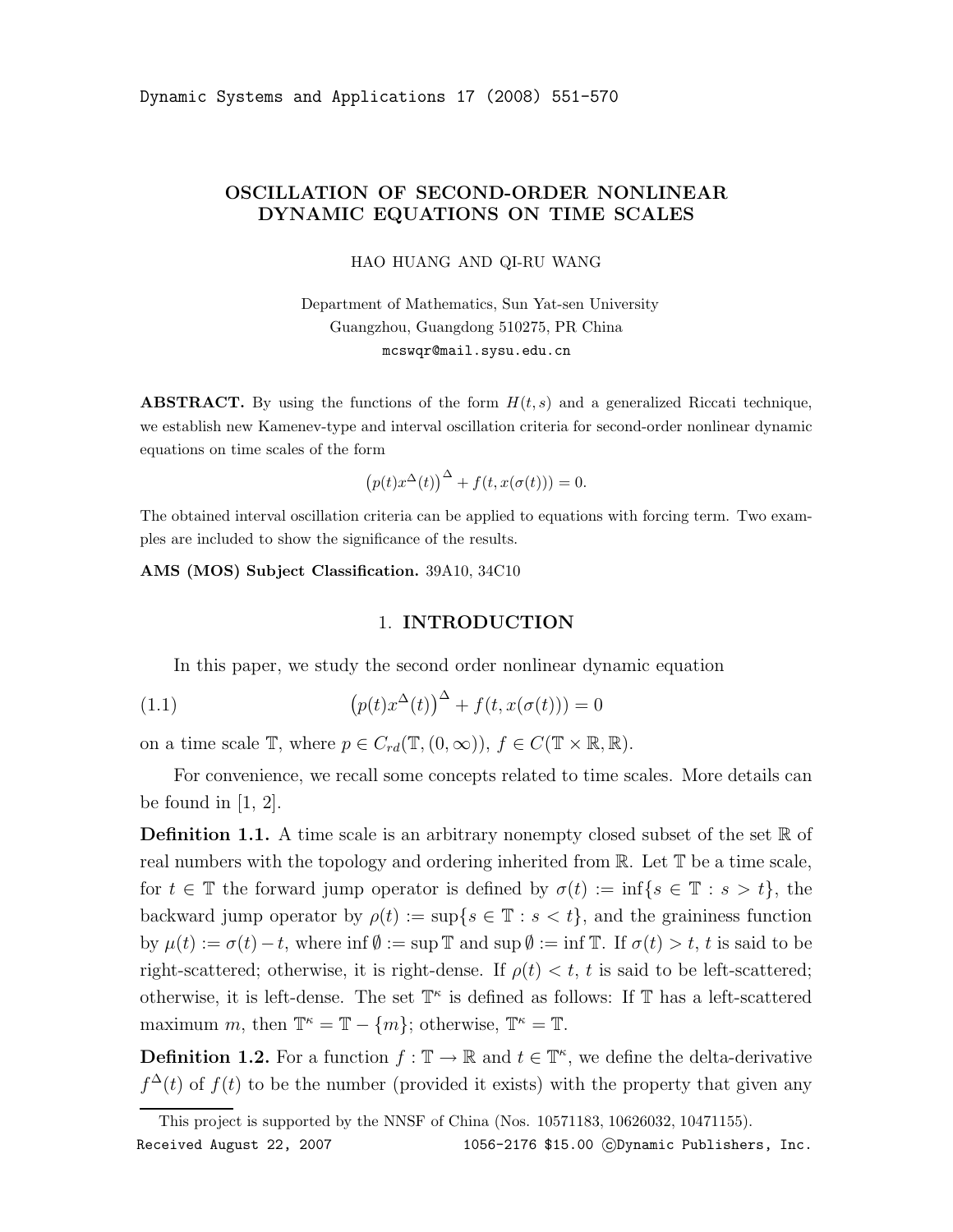# OSCILLATION OF SECOND-ORDER NONLINEAR DYNAMIC EQUATIONS ON TIME SCALES

HAO HUANG AND QI-RU WANG

Department of Mathematics, Sun Yat-sen University Guangzhou, Guangdong 510275, PR China mcswqr@mail.sysu.edu.cn

**ABSTRACT.** By using the functions of the form  $H(t, s)$  and a generalized Riccati technique, we establish new Kamenev-type and interval oscillation criteria for second-order nonlinear dynamic equations on time scales of the form

$$
(p(t)x^{\Delta}(t))^{\Delta} + f(t, x(\sigma(t))) = 0.
$$

The obtained interval oscillation criteria can be applied to equations with forcing term. Two examples are included to show the significance of the results.

AMS (MOS) Subject Classification. 39A10, 34C10

#### 1. INTRODUCTION

In this paper, we study the second order nonlinear dynamic equation

(1.1) 
$$
\left(p(t)x^{\Delta}(t)\right)^{\Delta} + f(t, x(\sigma(t))) = 0
$$

on a time scale  $\mathbb{T}$ , where  $p \in C_{rd}(\mathbb{T}, (0, \infty)), f \in C(\mathbb{T} \times \mathbb{R}, \mathbb{R}).$ 

For convenience, we recall some concepts related to time scales. More details can be found in  $[1, 2]$ .

**Definition 1.1.** A time scale is an arbitrary nonempty closed subset of the set  $\mathbb{R}$  of real numbers with the topology and ordering inherited from R. Let T be a time scale, for  $t \in \mathbb{T}$  the forward jump operator is defined by  $\sigma(t) := \inf\{s \in \mathbb{T} : s > t\}$ , the backward jump operator by  $\rho(t) := \sup\{s \in \mathbb{T} : s < t\}$ , and the graininess function by  $\mu(t) := \sigma(t) - t$ , where inf  $\emptyset := \sup \mathbb{T}$  and  $\sup \emptyset := \inf \mathbb{T}$ . If  $\sigma(t) > t$ , t is said to be right-scattered; otherwise, it is right-dense. If  $\rho(t) < t$ , t is said to be left-scattered; otherwise, it is left-dense. The set  $\mathbb{T}^{\kappa}$  is defined as follows: If  $\mathbb{T}$  has a left-scattered maximum m, then  $\mathbb{T}^{\kappa} = \mathbb{T} - \{m\}$ ; otherwise,  $\mathbb{T}^{\kappa} = \mathbb{T}$ .

**Definition 1.2.** For a function  $f : \mathbb{T} \to \mathbb{R}$  and  $t \in \mathbb{T}^{\kappa}$ , we define the delta-derivative  $f^{\Delta}(t)$  of  $f(t)$  to be the number (provided it exists) with the property that given any

This project is supported by the NNSF of China (Nos. 10571183, 10626032, 10471155). Received August 22, 2007 1056-2176 \$15.00 CDynamic Publishers, Inc.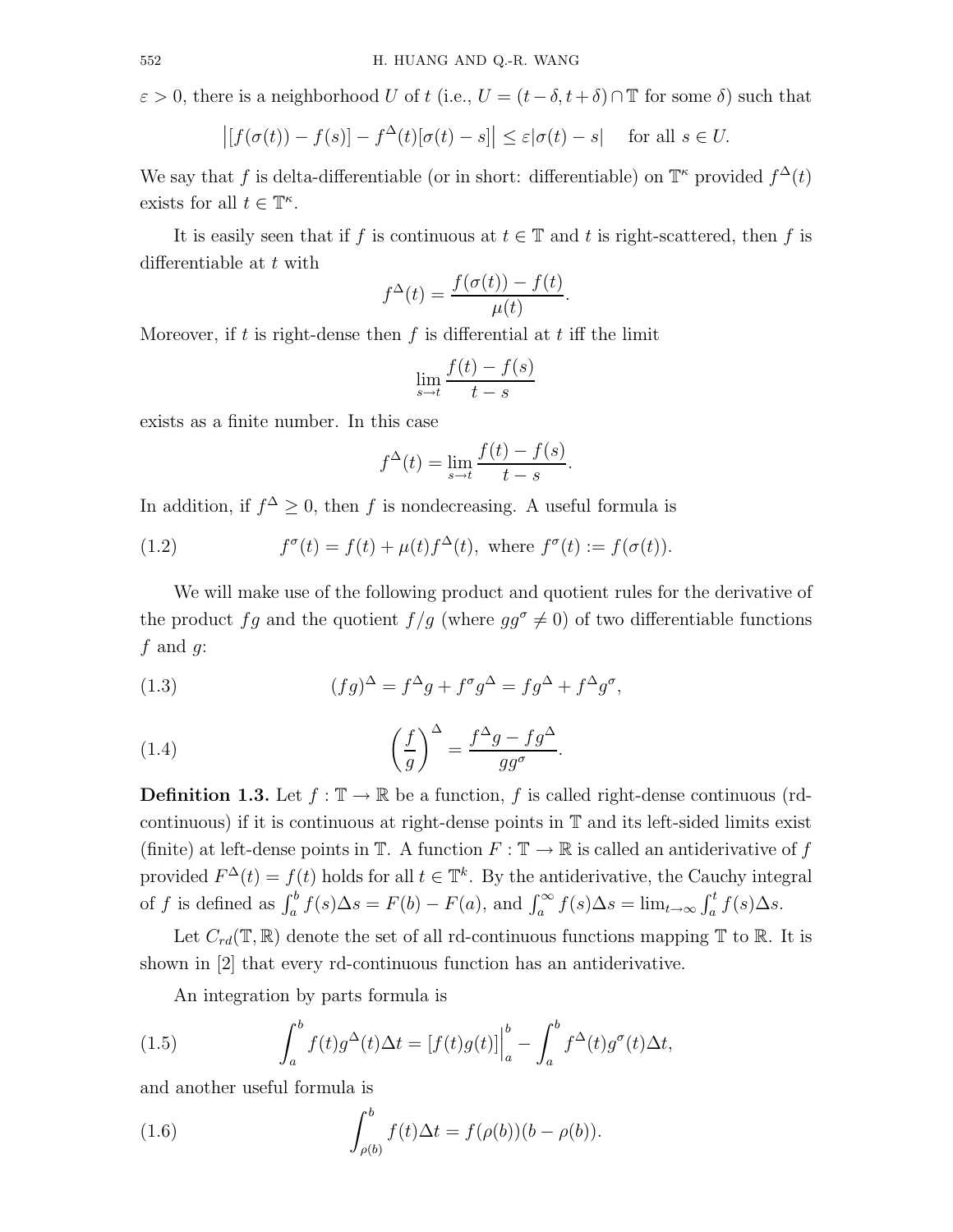$\varepsilon > 0$ , there is a neighborhood U of t (i.e.,  $U = (t - \delta, t + \delta) \cap \mathbb{T}$  for some  $\delta$ ) such that

$$
\left| [f(\sigma(t)) - f(s)] - f^{\Delta}(t)[\sigma(t) - s] \right| \le \varepsilon |\sigma(t) - s| \quad \text{for all } s \in U.
$$

We say that f is delta-differentiable (or in short: differentiable) on  $\mathbb{T}^{\kappa}$  provided  $f^{\Delta}(t)$ exists for all  $t \in \mathbb{T}^{\kappa}$ .

It is easily seen that if f is continuous at  $t \in \mathbb{T}$  and t is right-scattered, then f is differentiable at t with

$$
f^{\Delta}(t) = \frac{f(\sigma(t)) - f(t)}{\mu(t)}.
$$

Moreover, if t is right-dense then f is differential at t iff the limit

$$
\lim_{s \to t} \frac{f(t) - f(s)}{t - s}
$$

exists as a finite number. In this case

$$
f^{\Delta}(t) = \lim_{s \to t} \frac{f(t) - f(s)}{t - s}.
$$

In addition, if  $f^{\Delta} \geq 0$ , then f is nondecreasing. A useful formula is

(1.2) 
$$
f^{\sigma}(t) = f(t) + \mu(t) f^{\Delta}(t), \text{ where } f^{\sigma}(t) := f(\sigma(t)).
$$

We will make use of the following product and quotient rules for the derivative of the product fg and the quotient  $f/g$  (where  $gg^{\sigma} \neq 0$ ) of two differentiable functions  $f$  and  $g$ :

(1.3) 
$$
(fg)^{\Delta} = f^{\Delta}g + f^{\sigma}g^{\Delta} = fg^{\Delta} + f^{\Delta}g^{\sigma},
$$

(1.4) 
$$
\left(\frac{f}{g}\right)^{\Delta} = \frac{f^{\Delta}g - fg^{\Delta}}{gg^{\sigma}}.
$$

**Definition 1.3.** Let  $f : \mathbb{T} \to \mathbb{R}$  be a function, f is called right-dense continuous (rdcontinuous) if it is continuous at right-dense points in T and its left-sided limits exist (finite) at left-dense points in  $\mathbb{T}$ . A function  $F : \mathbb{T} \to \mathbb{R}$  is called an antiderivative of f provided  $F^{\Delta}(t) = f(t)$  holds for all  $t \in \mathbb{T}^{k}$ . By the antiderivative, the Cauchy integral of f is defined as  $\int_a^b f(s) \Delta s = F(b) - F(a)$ , and  $\int_a^{\infty} f(s) \Delta s = \lim_{t \to \infty} \int_a^t f(s) \Delta s$ .

Let  $C_{rd}(\mathbb{T}, \mathbb{R})$  denote the set of all rd-continuous functions mapping  $\mathbb{T}$  to  $\mathbb{R}$ . It is shown in [2] that every rd-continuous function has an antiderivative.

An integration by parts formula is

(1.5) 
$$
\int_{a}^{b} f(t)g^{\Delta}(t)\Delta t = [f(t)g(t)]\Big|_{a}^{b} - \int_{a}^{b} f^{\Delta}(t)g^{\sigma}(t)\Delta t,
$$

and another useful formula is

(1.6) 
$$
\int_{\rho(b)}^{b} f(t) \Delta t = f(\rho(b))(b - \rho(b)).
$$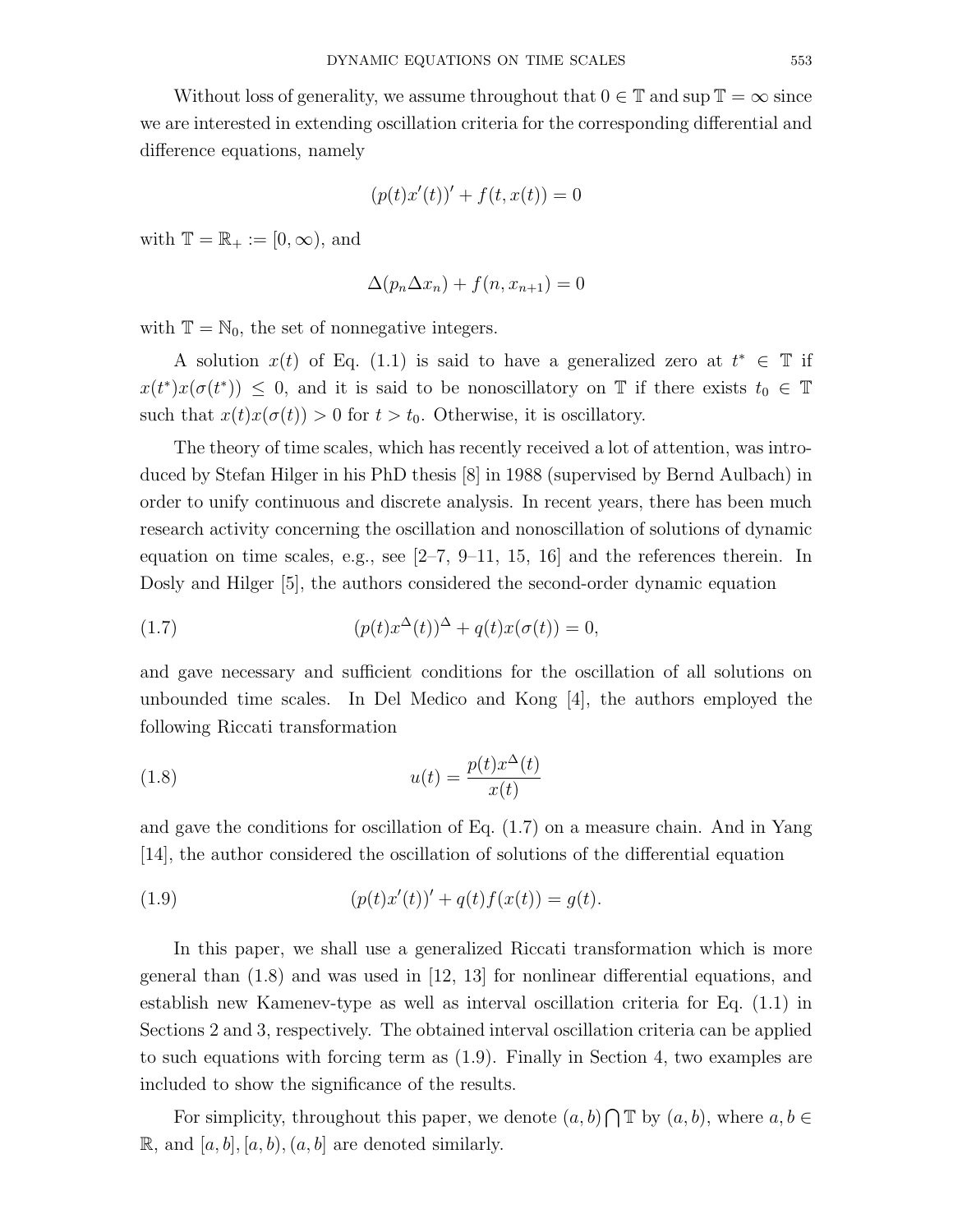Without loss of generality, we assume throughout that  $0 \in \mathbb{T}$  and sup  $\mathbb{T} = \infty$  since we are interested in extending oscillation criteria for the corresponding differential and difference equations, namely

$$
(p(t)x'(t))' + f(t, x(t)) = 0
$$

with  $\mathbb{T} = \mathbb{R}_+ := [0, \infty)$ , and

$$
\Delta(p_n \Delta x_n) + f(n, x_{n+1}) = 0
$$

with  $\mathbb{T} = \mathbb{N}_0$ , the set of nonnegative integers.

A solution  $x(t)$  of Eq. (1.1) is said to have a generalized zero at  $t^* \in \mathbb{T}$  if  $x(t^*)x(\sigma(t^*))\leq 0$ , and it is said to be nonoscillatory on T if there exists  $t_0 \in \mathbb{T}$ such that  $x(t)x(\sigma(t)) > 0$  for  $t > t_0$ . Otherwise, it is oscillatory.

The theory of time scales, which has recently received a lot of attention, was introduced by Stefan Hilger in his PhD thesis [8] in 1988 (supervised by Bernd Aulbach) in order to unify continuous and discrete analysis. In recent years, there has been much research activity concerning the oscillation and nonoscillation of solutions of dynamic equation on time scales, e.g., see [2–7, 9–11, 15, 16] and the references therein. In Dosly and Hilger [5], the authors considered the second-order dynamic equation

(1.7) 
$$
(p(t)x^{\Delta}(t))^{\Delta} + q(t)x(\sigma(t)) = 0,
$$

and gave necessary and sufficient conditions for the oscillation of all solutions on unbounded time scales. In Del Medico and Kong [4], the authors employed the following Riccati transformation

(1.8) 
$$
u(t) = \frac{p(t)x^{\Delta}(t)}{x(t)}
$$

and gave the conditions for oscillation of Eq. (1.7) on a measure chain. And in Yang [14], the author considered the oscillation of solutions of the differential equation

(1.9) 
$$
(p(t)x'(t))' + q(t)f(x(t)) = g(t).
$$

In this paper, we shall use a generalized Riccati transformation which is more general than (1.8) and was used in [12, 13] for nonlinear differential equations, and establish new Kamenev-type as well as interval oscillation criteria for Eq. (1.1) in Sections 2 and 3, respectively. The obtained interval oscillation criteria can be applied to such equations with forcing term as (1.9). Finally in Section 4, two examples are included to show the significance of the results.

For simplicity, throughout this paper, we denote  $(a, b) \cap \mathbb{T}$  by  $(a, b)$ , where  $a, b \in \mathbb{T}$  $\mathbb{R}$ , and  $[a, b], [a, b), (a, b]$  are denoted similarly.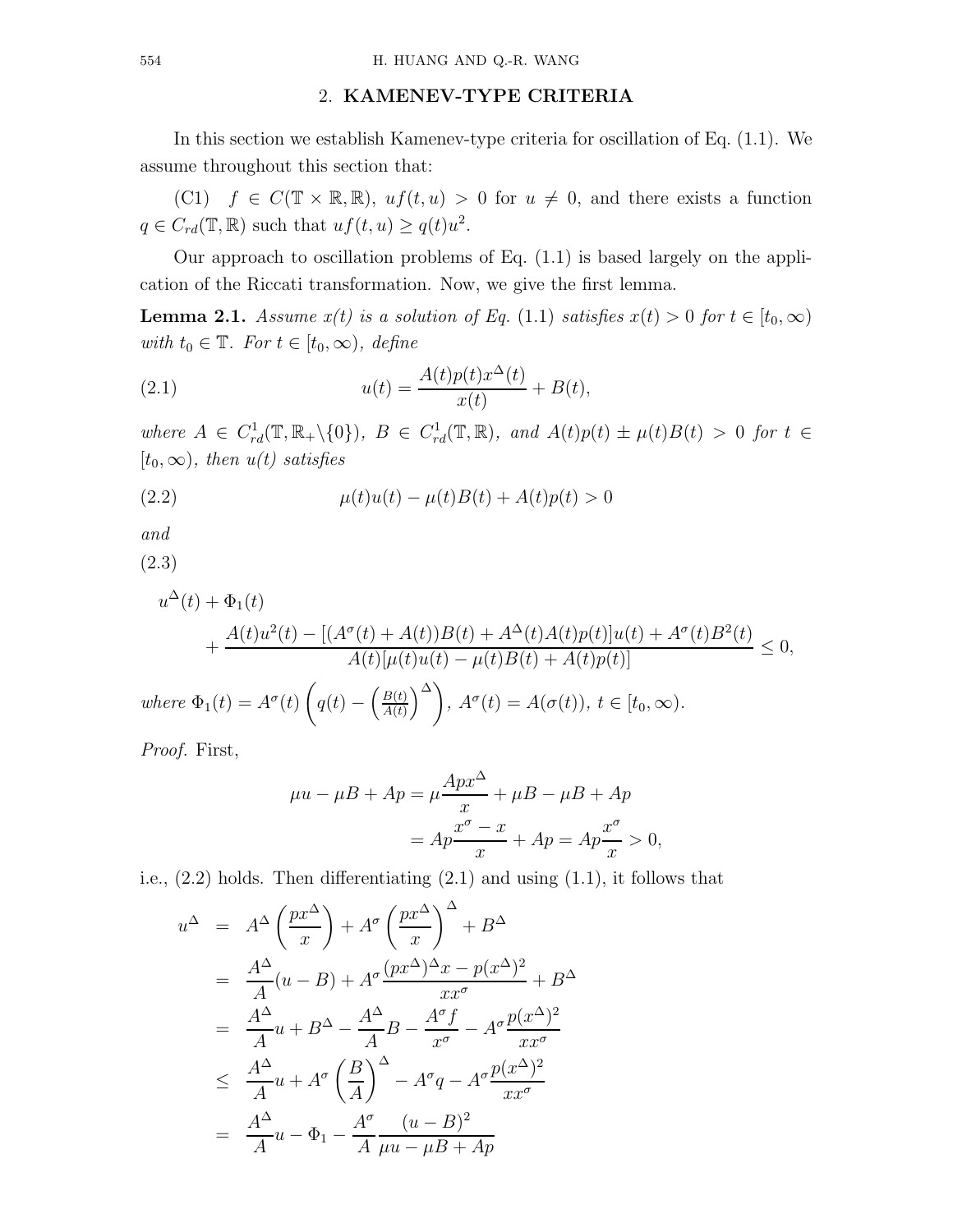### 2. KAMENEV-TYPE CRITERIA

In this section we establish Kamenev-type criteria for oscillation of Eq. (1.1). We assume throughout this section that:

(C1)  $f \in C(\mathbb{T} \times \mathbb{R}, \mathbb{R})$ ,  $uf(t, u) > 0$  for  $u \neq 0$ , and there exists a function  $q \in C_{rd}(\mathbb{T}, \mathbb{R})$  such that  $uf(t, u) \geq q(t)u^2$ .

Our approach to oscillation problems of Eq.  $(1.1)$  is based largely on the application of the Riccati transformation. Now, we give the first lemma.

**Lemma 2.1.** Assume  $x(t)$  is a solution of Eq. (1.1) satisfies  $x(t) > 0$  for  $t \in [t_0, \infty)$ with  $t_0 \in \mathbb{T}$ . For  $t \in [t_0, \infty)$ , define

(2.1) 
$$
u(t) = \frac{A(t)p(t)x^{\Delta}(t)}{x(t)} + B(t),
$$

where  $A \in C_{rd}^1(\mathbb{T}, \mathbb{R}_+ \setminus \{0\}), B \in C_{rd}^1(\mathbb{T}, \mathbb{R}),$  and  $A(t)p(t) \pm \mu(t)B(t) > 0$  for  $t \in$  $[t_0, \infty)$ , then  $u(t)$  satisfies

(2.2) 
$$
\mu(t)u(t) - \mu(t)B(t) + A(t)p(t) > 0
$$

and

(2.3)

$$
u^{\Delta}(t) + \Phi_1(t)
$$
  
+ 
$$
\frac{A(t)u^2(t) - [(A^{\sigma}(t) + A(t))B(t) + A^{\Delta}(t)A(t)p(t)]u(t) + A^{\sigma}(t)B^2(t)}{A(t)[\mu(t)u(t) - \mu(t)B(t) + A(t)p(t)]} \le 0,
$$
  
where  $\Phi_1(t) = A^{\sigma}(t) \left( q(t) - \left(\frac{B(t)}{A(t)}\right)^{\Delta} \right), A^{\sigma}(t) = A(\sigma(t)), t \in [t_0, \infty).$ 

Proof. First,

$$
\mu u - \mu B + Ap = \mu \frac{Apx^{\Delta}}{x} + \mu B - \mu B + Ap
$$

$$
= Ap \frac{x^{\sigma} - x}{x} + Ap = Ap \frac{x^{\sigma}}{x} > 0,
$$

i.e., (2.2) holds. Then differentiating (2.1) and using (1.1), it follows that

$$
u^{\Delta} = A^{\Delta} \left(\frac{px^{\Delta}}{x}\right) + A^{\sigma} \left(\frac{px^{\Delta}}{x}\right)^{\Delta} + B^{\Delta}
$$
  
\n
$$
= \frac{A^{\Delta}}{A} (u - B) + A^{\sigma} \frac{(px^{\Delta})^{\Delta}x - p(x^{\Delta})^2}{xx^{\sigma}} + B^{\Delta}
$$
  
\n
$$
= \frac{A^{\Delta}}{A} u + B^{\Delta} - \frac{A^{\Delta}}{A} B - \frac{A^{\sigma}f}{x^{\sigma}} - A^{\sigma} \frac{p(x^{\Delta})^2}{xx^{\sigma}}
$$
  
\n
$$
\leq \frac{A^{\Delta}}{A} u + A^{\sigma} \left(\frac{B}{A}\right)^{\Delta} - A^{\sigma}q - A^{\sigma} \frac{p(x^{\Delta})^2}{xx^{\sigma}}
$$
  
\n
$$
= \frac{A^{\Delta}}{A} u - \Phi_1 - \frac{A^{\sigma}}{A} \frac{(u - B)^2}{\mu u - \mu B + Ap}
$$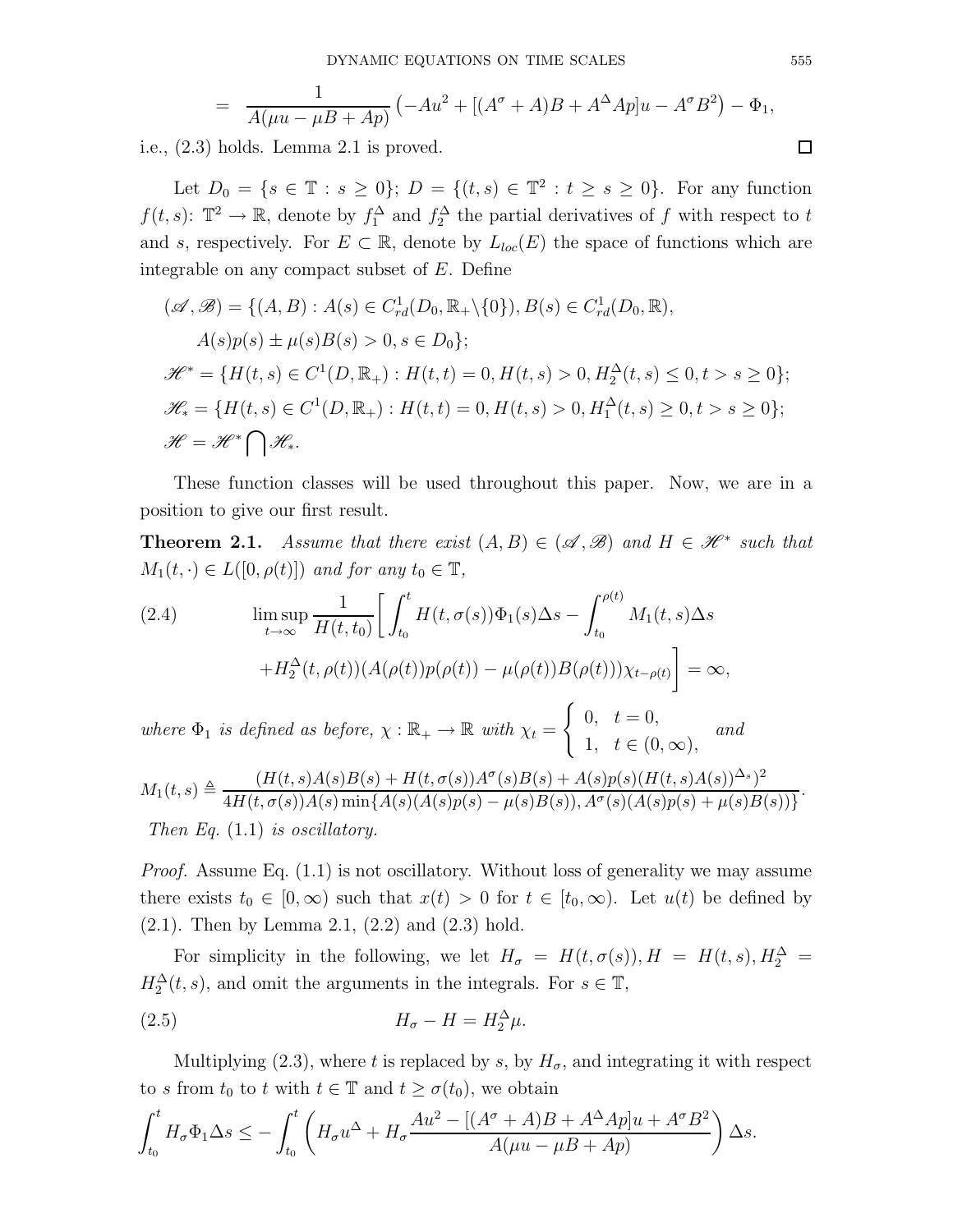$$
= \frac{1}{A(\mu u - \mu B + Ap)} \left( -Au^2 + [(A^{\sigma} + A)B + A^{\Delta}Ap]u - A^{\sigma}B^2 \right) - \Phi_1,
$$

i.e., (2.3) holds. Lemma 2.1 is proved.

Let  $D_0 = \{ s \in \mathbb{T} : s \ge 0 \}; D = \{ (t, s) \in \mathbb{T}^2 : t \ge s \ge 0 \}.$  For any function  $f(t, s)$ :  $\mathbb{T}^2 \to \mathbb{R}$ , denote by  $f_1^{\Delta}$  and  $f_2^{\Delta}$  the partial derivatives of f with respect to t and s, respectively. For  $E \subset \mathbb{R}$ , denote by  $L_{loc}(E)$  the space of functions which are integrable on any compact subset of E. Define

$$
(\mathscr{A}, \mathscr{B}) = \{ (A, B) : A(s) \in C_{rd}^{1}(D_{0}, \mathbb{R}_{+} \setminus \{0\}), B(s) \in C_{rd}^{1}(D_{0}, \mathbb{R}),
$$
  
\n
$$
A(s)p(s) \pm \mu(s)B(s) > 0, s \in D_{0} \};
$$
  
\n
$$
\mathscr{H}^{*} = \{ H(t, s) \in C^{1}(D, \mathbb{R}_{+}) : H(t, t) = 0, H(t, s) > 0, H_{2}^{\Delta}(t, s) \le 0, t > s \ge 0 \};
$$
  
\n
$$
\mathscr{H}_{*} = \{ H(t, s) \in C^{1}(D, \mathbb{R}_{+}) : H(t, t) = 0, H(t, s) > 0, H_{1}^{\Delta}(t, s) \ge 0, t > s \ge 0 \};
$$
  
\n
$$
\mathscr{H} = \mathscr{H}^{*} \bigcap \mathscr{H}_{*}.
$$

These function classes will be used throughout this paper. Now, we are in a position to give our first result.

**Theorem 2.1.** Assume that there exist  $(A, B) \in (\mathcal{A}, \mathcal{B})$  and  $H \in \mathcal{H}^*$  such that  $M_1(t, \cdot) \in L([0, \rho(t)])$  and for any  $t_0 \in \mathbb{T}$ ,

(2.4) 
$$
\limsup_{t \to \infty} \frac{1}{H(t, t_0)} \left[ \int_{t_0}^t H(t, \sigma(s)) \Phi_1(s) \Delta s - \int_{t_0}^{\rho(t)} M_1(t, s) \Delta s \right]
$$

$$
+ H_2^{\Delta}(t, \rho(t)) (A(\rho(t)) p(\rho(t)) - \mu(\rho(t)) B(\rho(t))) \chi_{t-\rho(t)} \right] = \infty,
$$

where  $\Phi_1$  is defined as before,  $\chi : \mathbb{R}_+ \to \mathbb{R}$  with  $\chi_t =$  $\int 0, t = 0,$ 1,  $t \in (0, \infty)$ , and

$$
M_1(t,s) \triangleq \frac{(H(t,s)A(s)B(s) + H(t,\sigma(s))A^{\sigma}(s)B(s) + A(s)p(s)(H(t,s)A(s))^{\Delta_s})^2}{4H(t,\sigma(s))A(s)\min\{A(s)(A(s)p(s) - \mu(s)B(s)), A^{\sigma}(s)(A(s)p(s) + \mu(s)B(s))\}}.
$$
  
Then Eq. (1.1) is oscillatory.

Proof. Assume Eq. (1.1) is not oscillatory. Without loss of generality we may assume there exists  $t_0 \in [0,\infty)$  such that  $x(t) > 0$  for  $t \in [t_0,\infty)$ . Let  $u(t)$  be defined by  $(2.1)$ . Then by Lemma 2.1,  $(2.2)$  and  $(2.3)$  hold.

For simplicity in the following, we let  $H_{\sigma} = H(t, \sigma(s)), H = H(t, s), H_2^{\Delta} =$  $H_2^{\Delta}(t, s)$ , and omit the arguments in the integrals. For  $s \in \mathbb{T}$ ,

$$
(2.5) \t\t\t H_{\sigma} - H = H_2^{\Delta} \mu.
$$

Multiplying (2.3), where t is replaced by s, by  $H_{\sigma}$ , and integrating it with respect to s from  $t_0$  to t with  $t \in \mathbb{T}$  and  $t \geq \sigma(t_0)$ , we obtain

$$
\int_{t_0}^t H_{\sigma} \Phi_1 \Delta s \le -\int_{t_0}^t \left( H_{\sigma} u^{\Delta} + H_{\sigma} \frac{Au^2 - [(A^{\sigma} + A)B + A^{\Delta}Ap]u + A^{\sigma}B^2}{A(\mu u - \mu B + Ap)} \right) \Delta s.
$$

 $\Box$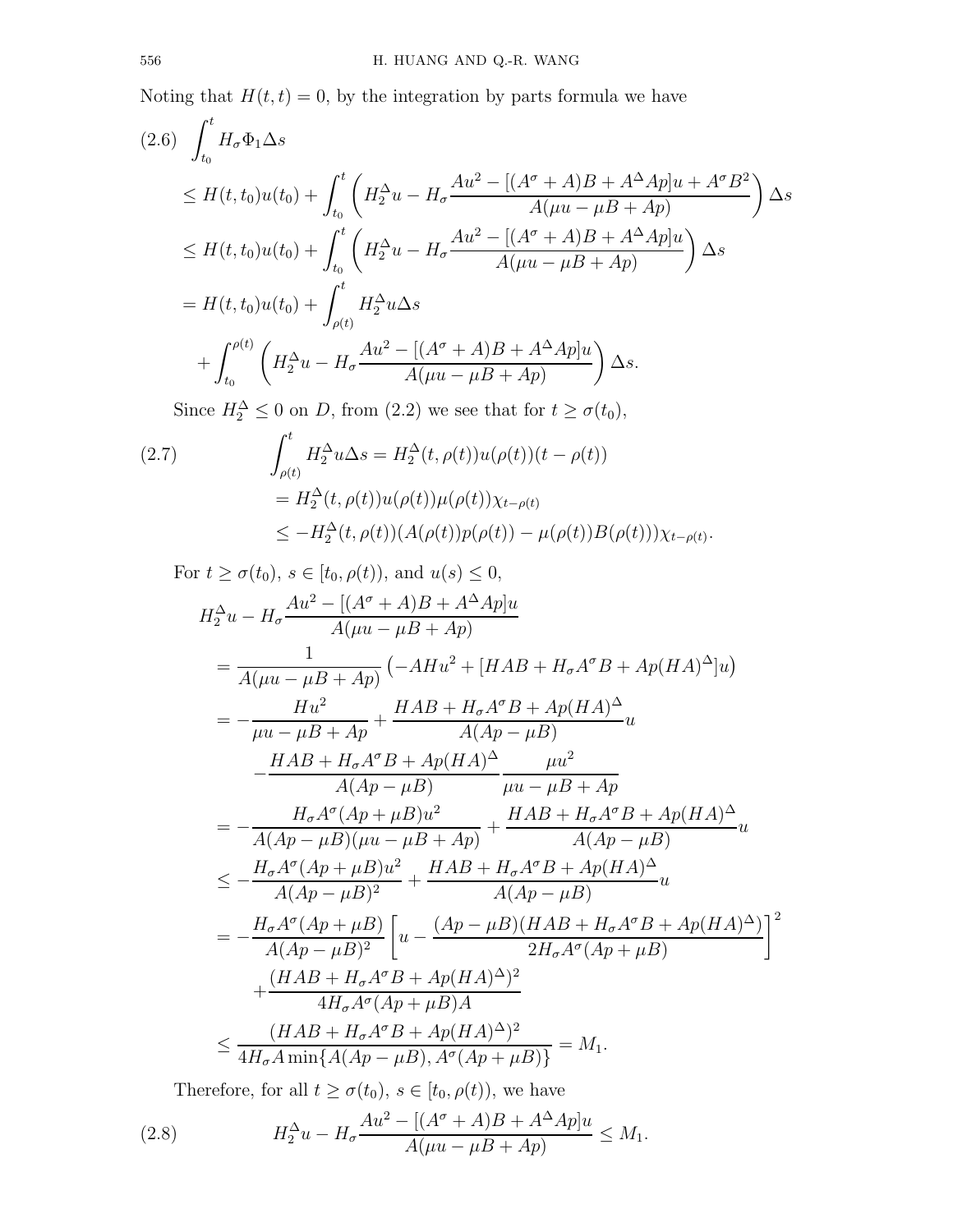Noting that  $H(t, t) = 0$ , by the integration by parts formula we have

$$
(2.6) \int_{t_0}^t H_{\sigma} \Phi_1 \Delta s
$$
  
\n
$$
\leq H(t, t_0)u(t_0) + \int_{t_0}^t \left( H_2^{\Delta} u - H_{\sigma} \frac{Au^2 - [(A^{\sigma} + A)B + A^{\Delta}A p]u + A^{\sigma}B^2}{A(\mu u - \mu B + Ap)} \right) \Delta s
$$
  
\n
$$
\leq H(t, t_0)u(t_0) + \int_{t_0}^t \left( H_2^{\Delta} u - H_{\sigma} \frac{Au^2 - [(A^{\sigma} + A)B + A^{\Delta}A p]u}{A(\mu u - \mu B + Ap)} \right) \Delta s
$$
  
\n
$$
= H(t, t_0)u(t_0) + \int_{\rho(t)}^t H_2^{\Delta} u \Delta s
$$
  
\n
$$
+ \int_{t_0}^{\rho(t)} \left( H_2^{\Delta} u - H_{\sigma} \frac{Au^2 - [(A^{\sigma} + A)B + A^{\Delta}A p]u}{A(\mu u - \mu B + Ap)} \right) \Delta s.
$$

Since  $H_2^{\Delta} \leq 0$  on D, from (2.2) we see that for  $t \geq \sigma(t_0)$ ,

(2.7) 
$$
\int_{\rho(t)}^{t} H_2^{\Delta} u \Delta s = H_2^{\Delta}(t, \rho(t)) u(\rho(t)) (t - \rho(t))
$$

$$
= H_2^{\Delta}(t, \rho(t)) u(\rho(t)) \mu(\rho(t)) \chi_{t-\rho(t)}
$$

$$
\leq -H_2^{\Delta}(t, \rho(t)) (A(\rho(t)) p(\rho(t)) - \mu(\rho(t)) B(\rho(t))) \chi_{t-\rho(t)}.
$$

For 
$$
t \ge \sigma(t_0)
$$
,  $s \in [t_0, \rho(t))$ , and  $u(s) \le 0$ ,  
\n
$$
H_2^{\Delta}u - H_{\sigma} \frac{Au^2 - [(A^{\sigma} + A)B + A^{\Delta}Ap]u}{A(\mu u - \mu B + Ap)}
$$
\n
$$
= \frac{1}{A(\mu u - \mu B + Ap)} \left( -AHu^2 + [HAB + H_{\sigma}A^{\sigma}B + Ap(HA)^{\Delta}]u \right)
$$
\n
$$
= -\frac{Hu^2}{\mu u - \mu B + Ap} + \frac{HAB + H_{\sigma}A^{\sigma}B + Ap(HA)^{\Delta}}{A(Ap - \mu B)}u
$$
\n
$$
- \frac{HAB + H_{\sigma}A^{\sigma}B + Ap(HA)^{\Delta}}{A(Ap - \mu B)} \frac{\mu u^2}{\mu u - \mu B + Ap}
$$
\n
$$
= -\frac{H_{\sigma}A^{\sigma}(Ap + \mu B)u^2}{A(Ap - \mu B)(\mu u - \mu B + Ap)} + \frac{HAB + H_{\sigma}A^{\sigma}B + Ap(HA)^{\Delta}}{A(Ap - \mu B)}u
$$
\n
$$
\le -\frac{H_{\sigma}A^{\sigma}(Ap + \mu B)u^2}{A(Ap - \mu B)^2} + \frac{HAB + H_{\sigma}A^{\sigma}B + Ap(HA)^{\Delta}}{A(Ap - \mu B)}u
$$
\n
$$
= -\frac{H_{\sigma}A^{\sigma}(Ap + \mu B)}{A(Ap - \mu B)^2} \left[ u - \frac{(Ap - \mu B)(HAB + H_{\sigma}A^{\sigma}B + Ap(HA)^{\Delta})}{2H_{\sigma}A^{\sigma}(Ap + \mu B)} \right]^2
$$
\n
$$
+ \frac{(HAB + H_{\sigma}A^{\sigma}B + Ap(HA)^{\Delta})^2}{4H_{\sigma}A^{\sigma}(Ap + \mu B)A} = M_1.
$$

Therefore, for all  $t \ge \sigma(t_0)$ ,  $s \in [t_0, \rho(t))$ , we have

(2.8) 
$$
H_2^{\Delta}u - H_{\sigma} \frac{Au^2 - [(A^{\sigma} + A)B + A^{\Delta}Ap]u}{A(\mu u - \mu B + Ap)} \leq M_1.
$$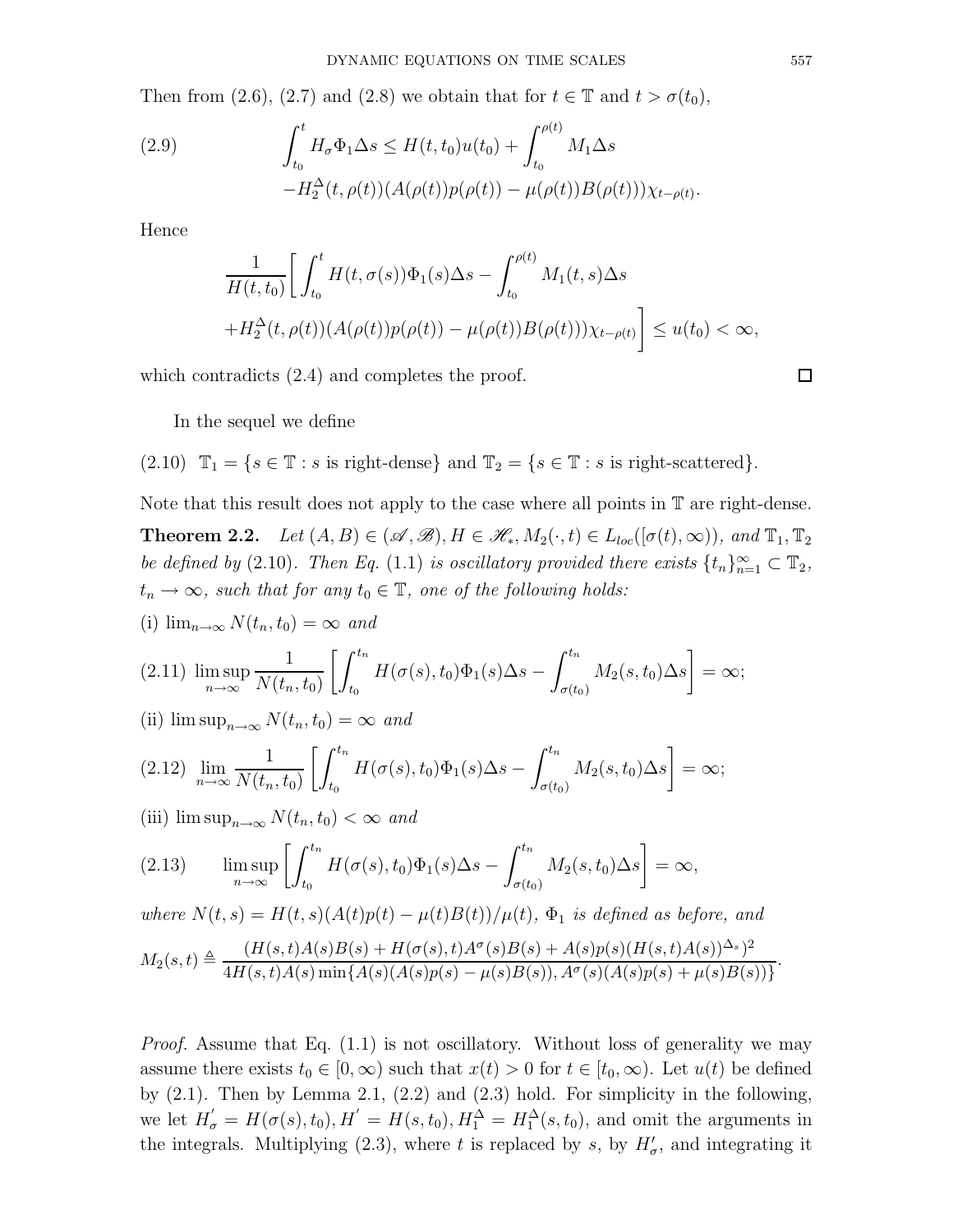Then from (2.6), (2.7) and (2.8) we obtain that for  $t \in \mathbb{T}$  and  $t > \sigma(t_0)$ ,

(2.9) 
$$
\int_{t_0}^{t} H_{\sigma} \Phi_1 \Delta s \leq H(t, t_0) u(t_0) + \int_{t_0}^{\rho(t)} M_1 \Delta s - H_2^{\Delta}(t, \rho(t)) (A(\rho(t)) p(\rho(t)) - \mu(\rho(t)) B(\rho(t))) \chi_{t-\rho(t)}.
$$

Hence

$$
\frac{1}{H(t,t_0)} \bigg[ \int_{t_0}^t H(t,\sigma(s)) \Phi_1(s) \Delta s - \int_{t_0}^{\rho(t)} M_1(t,s) \Delta s
$$
  
+ 
$$
H_2^{\Delta}(t,\rho(t)) (A(\rho(t))p(\rho(t)) - \mu(\rho(t))B(\rho(t))) \chi_{t-\rho(t)} \bigg] \le u(t_0) < \infty,
$$

which contradicts  $(2.4)$  and completes the proof.

$$
\Box
$$

In the sequel we define

(2.10)  $\mathbb{T}_1 = \{s \in \mathbb{T} : s \text{ is right-dense}\}\$ and  $\mathbb{T}_2 = \{s \in \mathbb{T} : s \text{ is right-scattered}\}\.$ 

Note that this result does not apply to the case where all points in T are right-dense. **Theorem 2.2.** Let  $(A, B) \in (\mathcal{A}, \mathcal{B}), H \in \mathcal{H}_*, M_2(\cdot, t) \in L_{loc}([\sigma(t), \infty)),$  and  $\mathbb{T}_1, \mathbb{T}_2$ be defined by (2.10). Then Eq. (1.1) is oscillatory provided there exists  $\{t_n\}_{n=1}^{\infty} \subset \mathbb{T}_2$ ,  $t_n \to \infty$ , such that for any  $t_0 \in \mathbb{T}$ , one of the following holds:

(i) 
$$
\lim_{n\to\infty} N(t_n, t_0) = \infty
$$
 and

$$
(2.11) \limsup_{n \to \infty} \frac{1}{N(t_n, t_0)} \left[ \int_{t_0}^{t_n} H(\sigma(s), t_0) \Phi_1(s) \Delta s - \int_{\sigma(t_0)}^{t_n} M_2(s, t_0) \Delta s \right] = \infty;
$$

(ii)  $\limsup_{n\to\infty} N(t_n,t_0) = \infty$  and

$$
(2.12) \lim_{n \to \infty} \frac{1}{N(t_n, t_0)} \left[ \int_{t_0}^{t_n} H(\sigma(s), t_0) \Phi_1(s) \Delta s - \int_{\sigma(t_0)}^{t_n} M_2(s, t_0) \Delta s \right] = \infty;
$$

(iii)  $\limsup_{n\to\infty} N(t_n,t_0) < \infty$  and

(2.13) 
$$
\limsup_{n \to \infty} \left[ \int_{t_0}^{t_n} H(\sigma(s), t_0) \Phi_1(s) \Delta s - \int_{\sigma(t_0)}^{t_n} M_2(s, t_0) \Delta s \right] = \infty,
$$

where  $N(t, s) = H(t, s) (A(t)p(t) - \mu(t)B(t))/\mu(t)$ ,  $\Phi_1$  is defined as before, and

$$
M_2(s,t) \triangleq \frac{(H(s,t)A(s)B(s) + H(\sigma(s),t)A^{\sigma}(s)B(s) + A(s)p(s)(H(s,t)A(s))^{\Delta_s})^2}{4H(s,t)A(s)\min\{A(s)(A(s)p(s) - \mu(s)B(s)), A^{\sigma}(s)(A(s)p(s) + \mu(s)B(s))\}}.
$$

Proof. Assume that Eq. (1.1) is not oscillatory. Without loss of generality we may assume there exists  $t_0 \in [0,\infty)$  such that  $x(t) > 0$  for  $t \in [t_0,\infty)$ . Let  $u(t)$  be defined by  $(2.1)$ . Then by Lemma 2.1,  $(2.2)$  and  $(2.3)$  hold. For simplicity in the following, we let  $H'_{\sigma} = H(\sigma(s), t_0), H' = H(s, t_0), H_1^{\Delta} = H_1^{\Delta}(s, t_0)$ , and omit the arguments in the integrals. Multiplying (2.3), where t is replaced by s, by  $H'_{\sigma}$ , and integrating it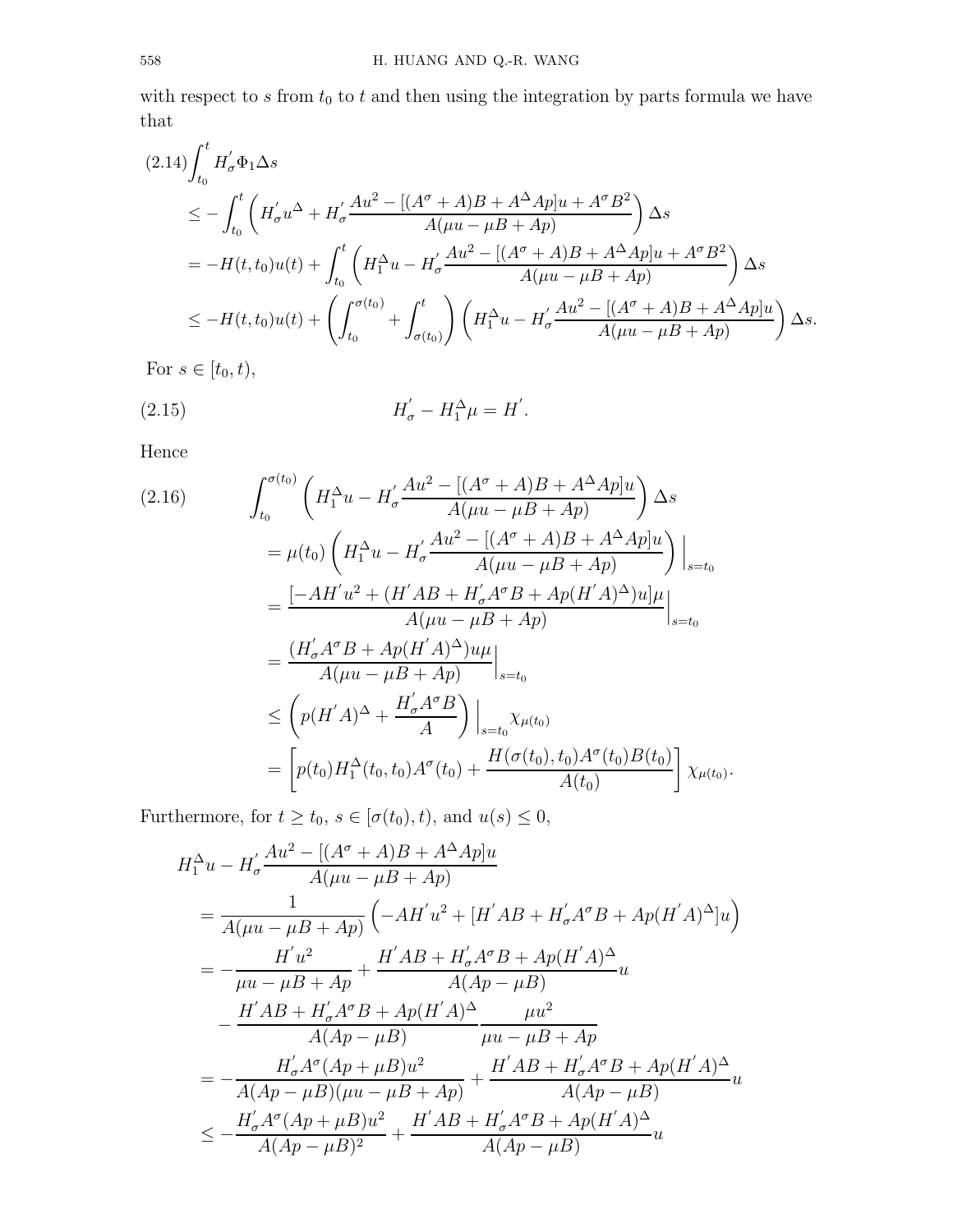with respect to  $s$  from  $t_0$  to  $t$  and then using the integration by parts formula we have that

$$
(2.14)\int_{t_0}^t H_{\sigma}' \Phi_1 \Delta s
$$
  
\n
$$
\leq -\int_{t_0}^t \left( H_{\sigma}' u^{\Delta} + H_{\sigma}' \frac{Au^2 - [(A^{\sigma} + A)B + A^{\Delta}A p]u + A^{\sigma}B^2}{A(\mu u - \mu B + Ap)} \right) \Delta s
$$
  
\n
$$
= -H(t, t_0)u(t) + \int_{t_0}^t \left( H_1^{\Delta} u - H_{\sigma}' \frac{Au^2 - [(A^{\sigma} + A)B + A^{\Delta}A p]u + A^{\sigma}B^2}{A(\mu u - \mu B + Ap)} \right) \Delta s
$$
  
\n
$$
\leq -H(t, t_0)u(t) + \left( \int_{t_0}^{\sigma(t_0)} + \int_{\sigma(t_0)}^t \left( H_1^{\Delta} u - H_{\sigma}' \frac{Au^2 - [(A^{\sigma} + A)B + A^{\Delta}A p]u}{A(\mu u - \mu B + Ap)} \right) \Delta s.
$$

For  $s \in [t_0, t)$ ,

(2.15) 
$$
H'_{\sigma} - H_1^{\Delta} \mu = H'.
$$

Hence

$$
(2.16) \qquad \int_{t_0}^{\sigma(t_0)} \left( H_1^{\Delta} u - H_{\sigma}' \frac{Au^2 - [(A^{\sigma} + A)B + A^{\Delta}A p]u}{A(\mu u - \mu B + Ap)} \right) \Delta s
$$
  
\n
$$
= \mu(t_0) \left( H_1^{\Delta} u - H_{\sigma}' \frac{Au^2 - [(A^{\sigma} + A)B + A^{\Delta}A p]u}{A(\mu u - \mu B + Ap)} \right) \Big|_{s=t_0}
$$
  
\n
$$
= \frac{[-AH'u^2 + (H'AB + H_{\sigma}'A^{\sigma}B + Ap(H'A)^{\Delta})u]\mu}{A(\mu u - \mu B + Ap)} \Big|_{s=t_0}
$$
  
\n
$$
\leq \left( p(H'A)^{\Delta} + \frac{H_{\sigma}'A^{\sigma}B}{A} \right) \Big|_{s=t_0} \chi_{\mu(t_0)}
$$
  
\n
$$
= \left[ p(t_0)H_1^{\Delta}(t_0, t_0)A^{\sigma}(t_0) + \frac{H(\sigma(t_0), t_0)A^{\sigma}(t_0)B(t_0)}{A(t_0)} \right] \chi_{\mu(t_0)}.
$$

Furthermore, for  $t \ge t_0$ ,  $s \in [\sigma(t_0), t)$ , and  $u(s) \le 0$ ,

$$
H_1^{\Delta}u - H_{\sigma}' \frac{Au^2 - [(A^{\sigma} + A)B + A^{\Delta}Ap]u}{A(\mu u - \mu B + Ap)}
$$
  
= 
$$
\frac{1}{A(\mu u - \mu B + Ap)} \left( -AH'u^2 + [H'AB + H_{\sigma}'A^{\sigma}B + Ap(H'A)^{\Delta}]u \right)
$$
  
= 
$$
-\frac{H'u^2}{\mu u - \mu B + Ap} + \frac{H'AB + H_{\sigma}'A^{\sigma}B + Ap(H'A)^{\Delta}}{A(Ap - \mu B)}u
$$
  

$$
-\frac{H'AB + H_{\sigma}'A^{\sigma}B + Ap(H'A)^{\Delta}}{A(Ap - \mu B)} \frac{\mu u^2}{\mu u - \mu B + Ap}
$$
  
= 
$$
-\frac{H_{\sigma}'A^{\sigma}(Ap + \mu B)u^2}{A(Ap - \mu B)(\mu u - \mu B + Ap)} + \frac{H'AB + H_{\sigma}'A^{\sigma}B + Ap(H'A)^{\Delta}}{A(Ap - \mu B)}u
$$
  

$$
\leq -\frac{H_{\sigma}'A^{\sigma}(Ap + \mu B)u^2}{A(Ap - \mu B)^2} + \frac{H'AB + H_{\sigma}'A^{\sigma}B + Ap(H'A)^{\Delta}}{A(Ap - \mu B)}u
$$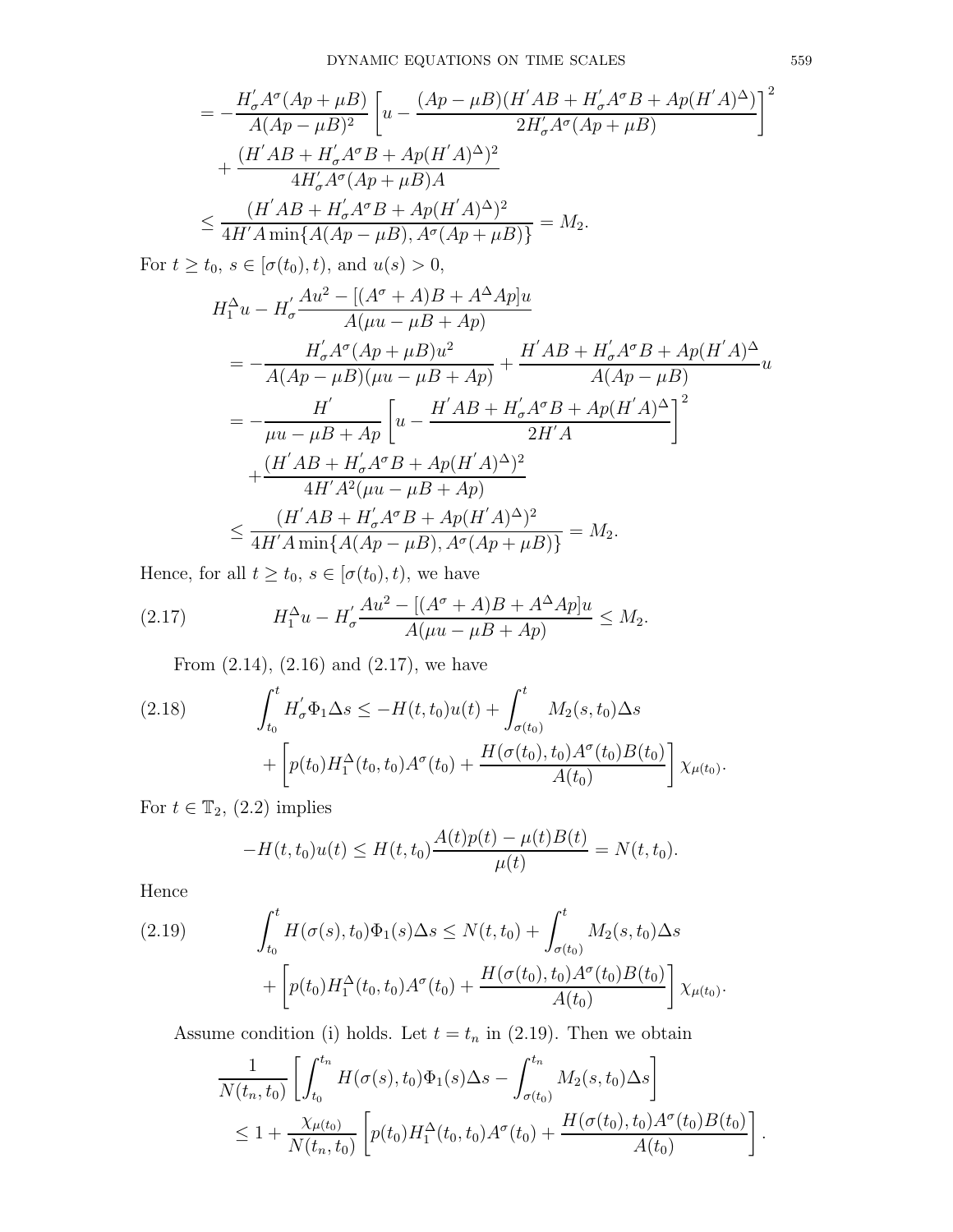$$
= -\frac{H'_{\sigma}A^{\sigma}(Ap + \mu B)}{A(Ap - \mu B)^{2}} \left[ u - \frac{(Ap - \mu B)(H'AB + H'_{\sigma}A^{\sigma}B + Ap(H'A)^{\Delta})}{2H'_{\sigma}A^{\sigma}(Ap + \mu B)} \right]^{2}
$$
  
+ 
$$
\frac{(H'AB + H'_{\sigma}A^{\sigma}B + Ap(H'A)^{\Delta})^{2}}{4H'_{\sigma}A^{\sigma}(Ap + \mu B)A}
$$
  

$$
\leq \frac{(H'AB + H'_{\sigma}A^{\sigma}B + Ap(H'A)^{\Delta})^{2}}{4H'A \min\{A(Ap - \mu B), A^{\sigma}(Ap + \mu B)\}} = M_{2}.
$$

For  $t \ge t_0, s \in [\sigma(t_0), t)$ , and  $u(s) > 0$ ,

$$
H_1^{\Delta}u - H_{\sigma}' \frac{Au^2 - [(A^{\sigma} + A)B + A^{\Delta}Ap]u}{A(\mu u - \mu B + Ap)}
$$
  
= 
$$
-\frac{H_{\sigma}'A^{\sigma}(Ap + \mu B)u^2}{A(Ap - \mu B)(\mu u - \mu B + Ap)} + \frac{H'AB + H_{\sigma}'A^{\sigma}B + Ap(H'A)^{\Delta}}{A(Ap - \mu B)}u
$$
  
= 
$$
-\frac{H'}{\mu u - \mu B + Ap} \left[ u - \frac{H'AB + H_{\sigma}'A^{\sigma}B + Ap(H'A)^{\Delta}}{2H'A} \right]^2
$$
  
+ 
$$
\frac{(H'AB + H_{\sigma}'A^{\sigma}B + Ap(H'A)^{\Delta})^2}{4H'A^2(\mu u - \mu B + Ap)}
$$
  

$$
\leq \frac{(H'AB + H_{\sigma}'A^{\sigma}B + Ap(H'A)^{\Delta})^2}{4H'A \min\{A(Ap - \mu B), A^{\sigma}(Ap + \mu B)\}} = M_2.
$$

Hence, for all  $t \ge t_0$ ,  $s \in [\sigma(t_0), t)$ , we have

(2.17) 
$$
H_1^{\Delta}u - H_{\sigma}' \frac{Au^2 - [(A^{\sigma} + A)B + A^{\Delta}Ap]u}{A(\mu u - \mu B + Ap)} \le M_2.
$$

From (2.14), (2.16) and (2.17), we have

(2.18) 
$$
\int_{t_0}^t H'_\sigma \Phi_1 \Delta s \le -H(t, t_0)u(t) + \int_{\sigma(t_0)}^t M_2(s, t_0) \Delta s + \left[ p(t_0)H_1^\Delta(t_0, t_0)A^\sigma(t_0) + \frac{H(\sigma(t_0), t_0)A^\sigma(t_0)B(t_0)}{A(t_0)} \right] \chi_{\mu(t_0)}.
$$

For  $t \in \mathbb{T}_2$ , (2.2) implies

$$
-H(t,t_0)u(t) \leq H(t,t_0)\frac{A(t)p(t) - \mu(t)B(t)}{\mu(t)} = N(t,t_0).
$$

Hence

(2.19) 
$$
\int_{t_0}^t H(\sigma(s), t_0) \Phi_1(s) \Delta s \le N(t, t_0) + \int_{\sigma(t_0)}^t M_2(s, t_0) \Delta s + \left[ p(t_0) H_1^{\Delta}(t_0, t_0) A^{\sigma}(t_0) + \frac{H(\sigma(t_0), t_0) A^{\sigma}(t_0) B(t_0)}{A(t_0)} \right] \chi_{\mu(t_0)}.
$$

Assume condition (i) holds. Let  $t = t_n$  in (2.19). Then we obtain

$$
\frac{1}{N(t_n, t_0)} \left[ \int_{t_0}^{t_n} H(\sigma(s), t_0) \Phi_1(s) \Delta s - \int_{\sigma(t_0)}^{t_n} M_2(s, t_0) \Delta s \right]
$$
  
\n
$$
\leq 1 + \frac{\chi_{\mu(t_0)}}{N(t_n, t_0)} \left[ p(t_0) H_1^{\Delta}(t_0, t_0) A^{\sigma}(t_0) + \frac{H(\sigma(t_0), t_0) A^{\sigma}(t_0) B(t_0)}{A(t_0)} \right].
$$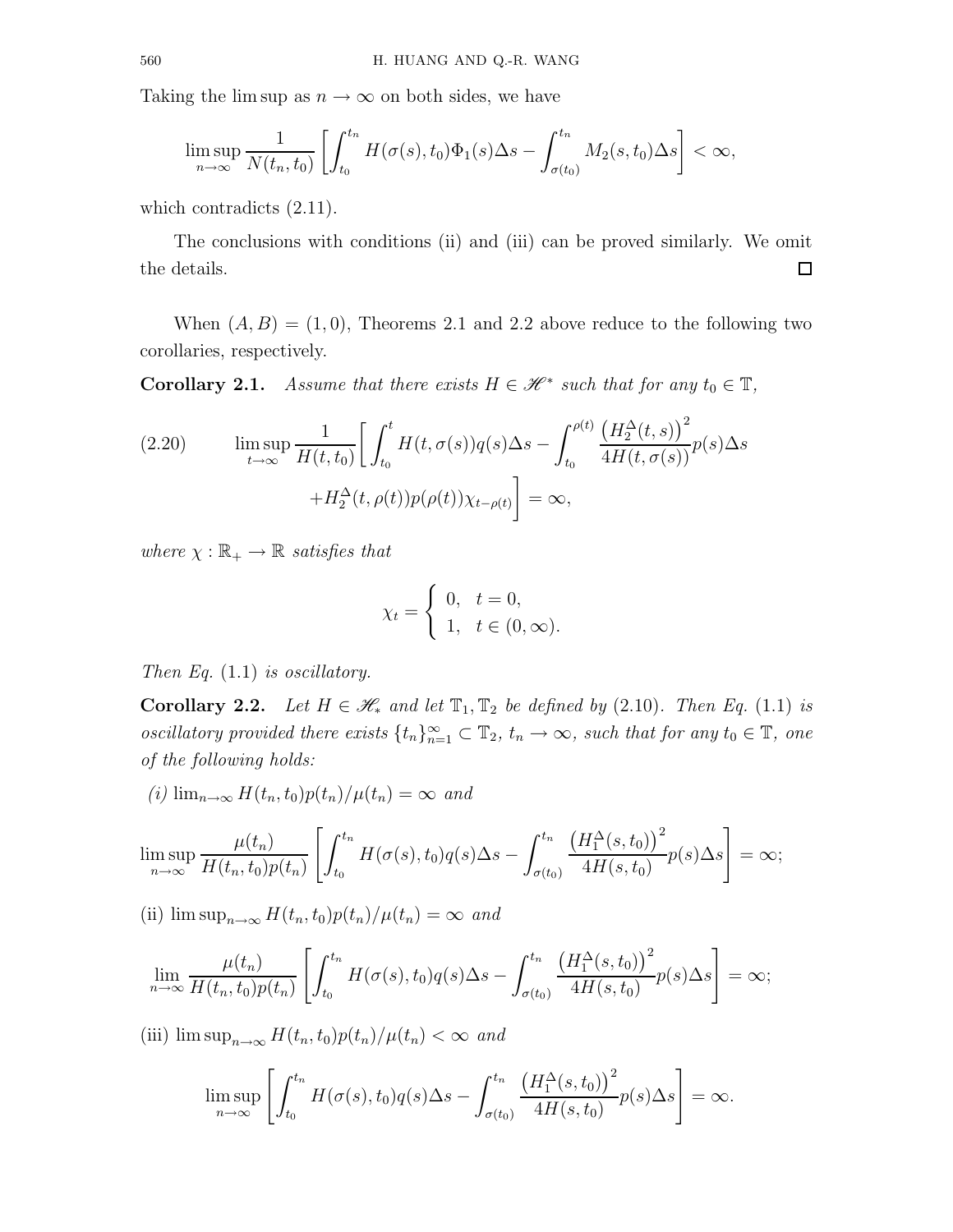Taking the lim sup as  $n \to \infty$  on both sides, we have

$$
\limsup_{n\to\infty}\frac{1}{N(t_n,t_0)}\left[\int_{t_0}^{t_n}H(\sigma(s),t_0)\Phi_1(s)\Delta s-\int_{\sigma(t_0)}^{t_n}M_2(s,t_0)\Delta s\right]<\infty,
$$

which contradicts  $(2.11)$ .

The conclusions with conditions (ii) and (iii) can be proved similarly. We omit the details.  $\Box$ 

When  $(A, B) = (1, 0)$ , Theorems 2.1 and 2.2 above reduce to the following two corollaries, respectively.

**Corollary 2.1.** Assume that there exists  $H \in \mathcal{H}^*$  such that for any  $t_0 \in \mathbb{T}$ ,

(2.20) 
$$
\limsup_{t \to \infty} \frac{1}{H(t, t_0)} \left[ \int_{t_0}^t H(t, \sigma(s)) q(s) \Delta s - \int_{t_0}^{\rho(t)} \frac{\left(H_2^{\Delta}(t, s)\right)^2}{4H(t, \sigma(s))} p(s) \Delta s \right] + H_2^{\Delta}(t, \rho(t)) p(\rho(t)) \chi_{t-\rho(t)} \right] = \infty,
$$

where  $\chi : \mathbb{R}_+ \to \mathbb{R}$  satisfies that

$$
\chi_t = \begin{cases} 0, & t = 0, \\ 1, & t \in (0, \infty). \end{cases}
$$

Then Eq.  $(1.1)$  is oscillatory.

**Corollary 2.2.** Let  $H \in \mathcal{H}_*$  and let  $\mathbb{T}_1, \mathbb{T}_2$  be defined by (2.10). Then Eq. (1.1) is oscillatory provided there exists  $\{t_n\}_{n=1}^{\infty} \subset \mathbb{T}_2$ ,  $t_n \to \infty$ , such that for any  $t_0 \in \mathbb{T}$ , one of the following holds:

(i)  $\lim_{n\to\infty} H(t_n,t_0)p(t_n)/\mu(t_n) = \infty$  and

$$
\limsup_{n\to\infty}\frac{\mu(t_n)}{H(t_n,t_0)p(t_n)}\left[\int_{t_0}^{t_n}H(\sigma(s),t_0)q(s)\Delta s-\int_{\sigma(t_0)}^{t_n}\frac{\left(H_1^{\Delta}(s,t_0)\right)^2}{4H(s,t_0)}p(s)\Delta s\right]=\infty;
$$

(ii)  $\limsup_{n\to\infty} H(t_n,t_0)p(t_n)/\mu(t_n) = \infty$  and

$$
\lim_{n\to\infty}\frac{\mu(t_n)}{H(t_n,t_0)p(t_n)}\left[\int_{t_0}^{t_n}H(\sigma(s),t_0)q(s)\Delta s-\int_{\sigma(t_0)}^{t_n}\frac{\left(H_1^{\Delta}(s,t_0)\right)^2}{4H(s,t_0)}p(s)\Delta s\right]=\infty;
$$

(iii)  $\limsup_{n\to\infty} H(t_n,t_0)p(t_n)/\mu(t_n) < \infty$  and

$$
\limsup_{n\to\infty}\left[\int_{t_0}^{t_n}H(\sigma(s),t_0)q(s)\Delta s-\int_{\sigma(t_0)}^{t_n}\frac{\left(H_1^{\Delta}(s,t_0)\right)^2}{4H(s,t_0)}p(s)\Delta s\right]=\infty.
$$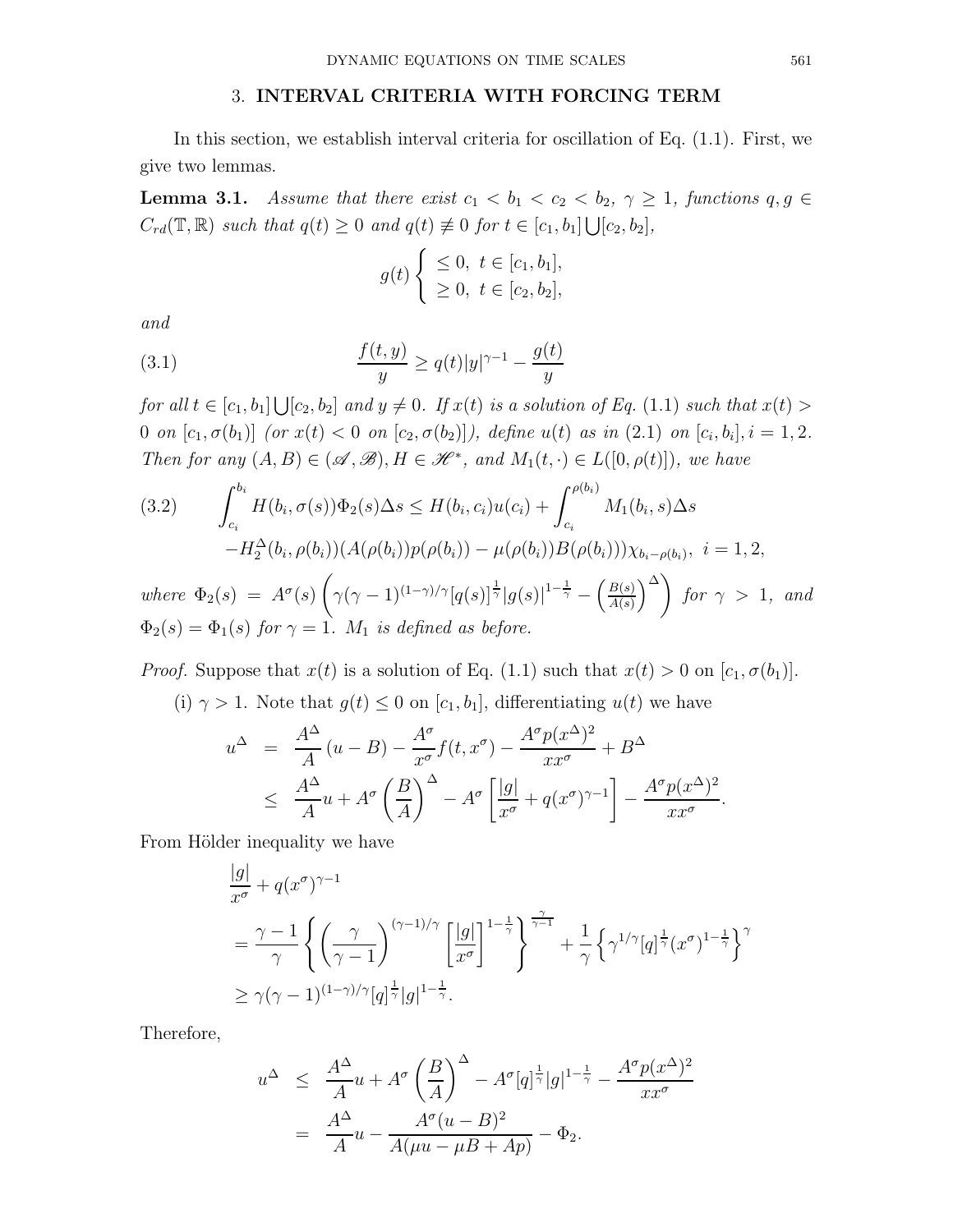## 3. INTERVAL CRITERIA WITH FORCING TERM

In this section, we establish interval criteria for oscillation of Eq. (1.1). First, we give two lemmas.

**Lemma 3.1.** Assume that there exist  $c_1 < b_1 < c_2 < b_2$ ,  $\gamma \geq 1$ , functions  $q, q \in$  $C_{rd}(\mathbb{T}, \mathbb{R})$  such that  $q(t) \geq 0$  and  $q(t) \not\equiv 0$  for  $t \in [c_1, b_1] \bigcup [c_2, b_2]$ ,

$$
g(t) \begin{cases} \leq 0, \ t \in [c_1, b_1], \\ \geq 0, \ t \in [c_2, b_2], \end{cases}
$$

and

(3.1) 
$$
\frac{f(t,y)}{y} \ge q(t)|y|^{\gamma - 1} - \frac{g(t)}{y}
$$

for all  $t \in [c_1, b_1] \bigcup [c_2, b_2]$  and  $y \neq 0$ . If  $x(t)$  is a solution of Eq.  $(1.1)$  such that  $x(t) >$ 0 on  $[c_1, \sigma(b_1)]$  (or  $x(t) < 0$  on  $[c_2, \sigma(b_2)]$ ), define  $u(t)$  as in  $(2.1)$  on  $[c_i, b_i], i = 1, 2$ . Then for any  $(A, B) \in (\mathscr{A}, \mathscr{B}), H \in \mathscr{H}^*$ , and  $M_1(t, \cdot) \in L([0, \rho(t)])$ , we have

$$
(3.2) \qquad \int_{c_i}^{b_i} H(b_i, \sigma(s)) \Phi_2(s) \Delta s \le H(b_i, c_i) u(c_i) + \int_{c_i}^{\rho(b_i)} M_1(b_i, s) \Delta s - H_2^{\Delta}(b_i, \rho(b_i)) (A(\rho(b_i)) p(\rho(b_i)) - \mu(\rho(b_i)) B(\rho(b_i))) \chi_{b_i - \rho(b_i)}, \ i = 1, 2,
$$
  
where  $\Phi_2(s) = A^{\sigma}(s) \left( \gamma(\gamma - 1)^{(1 - \gamma)/\gamma} [q(s)]^{\frac{1}{\gamma}} |g(s)|^{1 - \frac{1}{\gamma}} - \left( \frac{B(s)}{A(s)} \right)^{\Delta} \right)$  for  $\gamma > 1$ , and

 $A(s)$  $\Phi_2(s) = \Phi_1(s)$  for  $\gamma = 1$ .  $M_1$  is defined as before.

*Proof.* Suppose that  $x(t)$  is a solution of Eq. (1.1) such that  $x(t) > 0$  on  $[c_1, \sigma(b_1)]$ .

(i)  $\gamma > 1$ . Note that  $g(t) \leq 0$  on  $[c_1, b_1]$ , differentiating  $u(t)$  we have

$$
u^{\Delta} = \frac{A^{\Delta}}{A}(u - B) - \frac{A^{\sigma}}{x^{\sigma}}f(t, x^{\sigma}) - \frac{A^{\sigma}p(x^{\Delta})^2}{xx^{\sigma}} + B^{\Delta}
$$
  
 
$$
\leq \frac{A^{\Delta}}{A}u + A^{\sigma}\left(\frac{B}{A}\right)^{\Delta} - A^{\sigma}\left[\frac{|g|}{x^{\sigma}} + q(x^{\sigma})^{\gamma-1}\right] - \frac{A^{\sigma}p(x^{\Delta})^2}{xx^{\sigma}}.
$$

From Hölder inequality we have

$$
\frac{|g|}{x^{\sigma}} + q(x^{\sigma})^{\gamma - 1}
$$
\n
$$
= \frac{\gamma - 1}{\gamma} \left\{ \left( \frac{\gamma}{\gamma - 1} \right)^{(\gamma - 1)/\gamma} \left[ \frac{|g|}{x^{\sigma}} \right]^{1 - \frac{1}{\gamma}} \right\}^{\frac{\gamma}{\gamma - 1}} + \frac{1}{\gamma} \left\{ \gamma^{1/\gamma} [q]^{\frac{1}{\gamma}} (x^{\sigma})^{1 - \frac{1}{\gamma}} \right\}^{\gamma}
$$
\n
$$
\geq \gamma (\gamma - 1)^{(1 - \gamma)/\gamma} [q]^{\frac{1}{\gamma}} |g|^{1 - \frac{1}{\gamma}}.
$$

Therefore,

$$
u^{\Delta} \le \frac{A^{\Delta}}{A} u + A^{\sigma} \left(\frac{B}{A}\right)^{\Delta} - A^{\sigma} [q]^{\frac{1}{\gamma}} |g|^{1-\frac{1}{\gamma}} - \frac{A^{\sigma} p (x^{\Delta})^2}{x x^{\sigma}}
$$

$$
= \frac{A^{\Delta}}{A} u - \frac{A^{\sigma} (u - B)^2}{A (\mu u - \mu B + A p)} - \Phi_2.
$$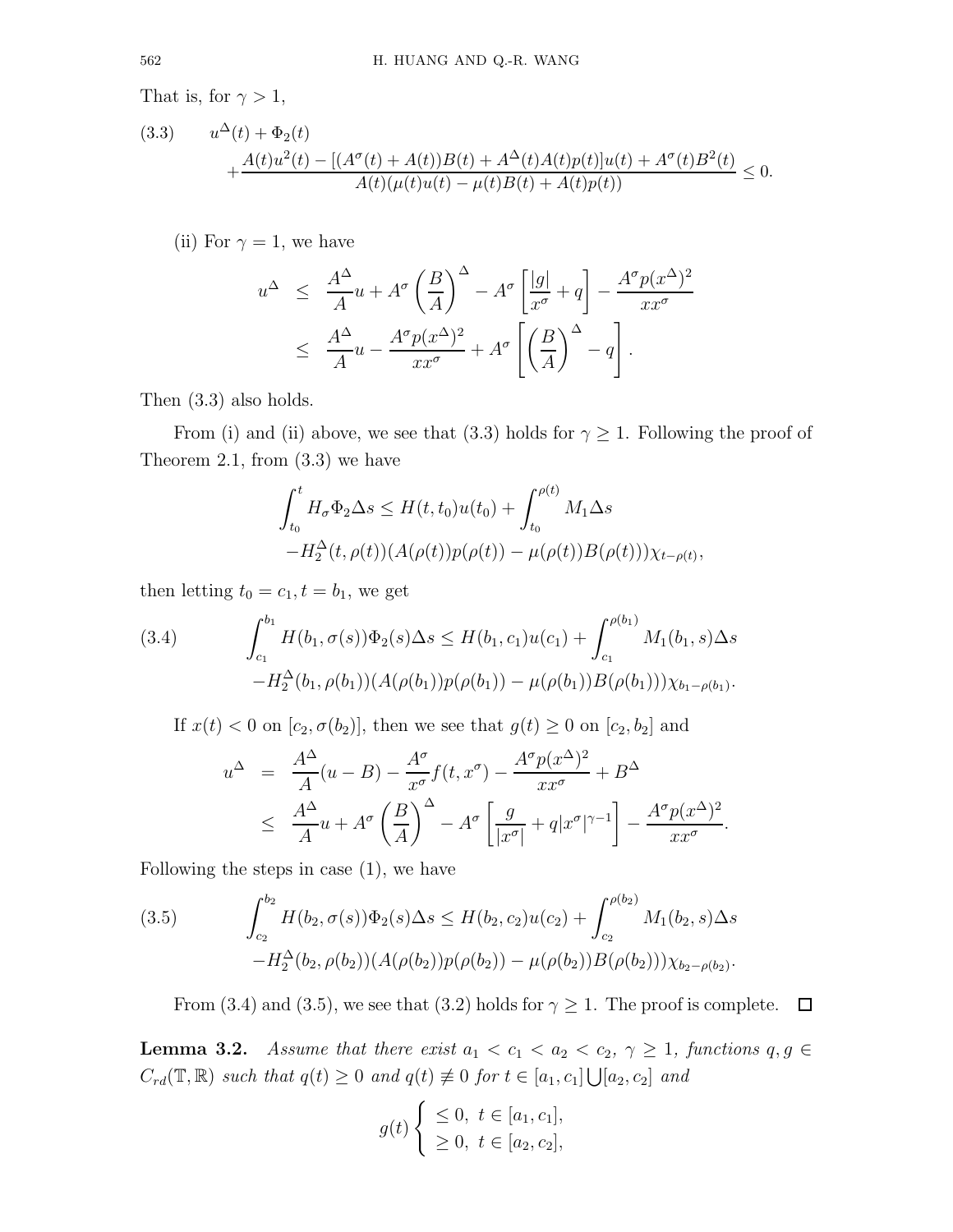That is, for  $\gamma > 1$ ,

(3.3) 
$$
u^{\Delta}(t) + \Phi_2(t) + \frac{A(t)u^2(t) - [(A^{\sigma}(t) + A(t))B(t) + A^{\Delta}(t)A(t)p(t)]u(t) + A^{\sigma}(t)B^2(t)}{A(t)(\mu(t)u(t) - \mu(t)B(t) + A(t)p(t))} \le 0.
$$

(ii) For  $\gamma = 1$ , we have

$$
u^{\Delta} \leq \frac{A^{\Delta}}{A}u + A^{\sigma} \left(\frac{B}{A}\right)^{\Delta} - A^{\sigma} \left[\frac{|g|}{x^{\sigma}} + q\right] - \frac{A^{\sigma} p (x^{\Delta})^2}{x x^{\sigma}}
$$

$$
\leq \frac{A^{\Delta}}{A}u - \frac{A^{\sigma} p (x^{\Delta})^2}{x x^{\sigma}} + A^{\sigma} \left[\left(\frac{B}{A}\right)^{\Delta} - q\right].
$$

Then (3.3) also holds.

From (i) and (ii) above, we see that (3.3) holds for  $\gamma \geq 1$ . Following the proof of Theorem 2.1, from  $(3.3)$  we have

$$
\int_{t_0}^t H_{\sigma} \Phi_2 \Delta s \le H(t, t_0) u(t_0) + \int_{t_0}^{\rho(t)} M_1 \Delta s \n-H_2^{\Delta}(t, \rho(t)) (A(\rho(t)) p(\rho(t)) - \mu(\rho(t)) B(\rho(t))) \chi_{t-\rho(t)},
$$

then letting  $t_0 = c_1, t = b_1$ , we get

(3.4) 
$$
\int_{c_1}^{b_1} H(b_1, \sigma(s)) \Phi_2(s) \Delta s \leq H(b_1, c_1) u(c_1) + \int_{c_1}^{\rho(b_1)} M_1(b_1, s) \Delta s - H_2^{\Delta}(b_1, \rho(b_1)) (A(\rho(b_1)) p(\rho(b_1)) - \mu(\rho(b_1)) B(\rho(b_1))) \chi_{b_1 - \rho(b_1)}.
$$

If  $x(t) < 0$  on  $[c_2, \sigma(b_2)]$ , then we see that  $g(t) \ge 0$  on  $[c_2, b_2]$  and

$$
u^{\Delta} = \frac{A^{\Delta}}{A}(u - B) - \frac{A^{\sigma}}{x^{\sigma}}f(t, x^{\sigma}) - \frac{A^{\sigma}p(x^{\Delta})^2}{xx^{\sigma}} + B^{\Delta}
$$
  
 
$$
\leq \frac{A^{\Delta}}{A}u + A^{\sigma}\left(\frac{B}{A}\right)^{\Delta} - A^{\sigma}\left[\frac{g}{|x^{\sigma}|} + q|x^{\sigma}|^{\gamma-1}\right] - \frac{A^{\sigma}p(x^{\Delta})^2}{xx^{\sigma}}.
$$

Following the steps in case (1), we have

(3.5) 
$$
\int_{c_2}^{b_2} H(b_2, \sigma(s)) \Phi_2(s) \Delta s \le H(b_2, c_2) u(c_2) + \int_{c_2}^{\rho(b_2)} M_1(b_2, s) \Delta s - H_2^{\Delta}(b_2, \rho(b_2)) (A(\rho(b_2)) p(\rho(b_2)) - \mu(\rho(b_2)) B(\rho(b_2))) \chi_{b_2 - \rho(b_2)}.
$$

From (3.4) and (3.5), we see that (3.2) holds for  $\gamma \geq 1$ . The proof is complete.  $\Box$ 

**Lemma 3.2.** Assume that there exist  $a_1 < c_1 < a_2 < c_2$ ,  $\gamma \ge 1$ , functions  $q, q \in$  $C_{rd}(\mathbb{T}, \mathbb{R})$  such that  $q(t) \geq 0$  and  $q(t) \neq 0$  for  $t \in [a_1, c_1] \bigcup [a_2, c_2]$  and

$$
g(t) \begin{cases} \leq 0, \ t \in [a_1, c_1], \\ \geq 0, \ t \in [a_2, c_2], \end{cases}
$$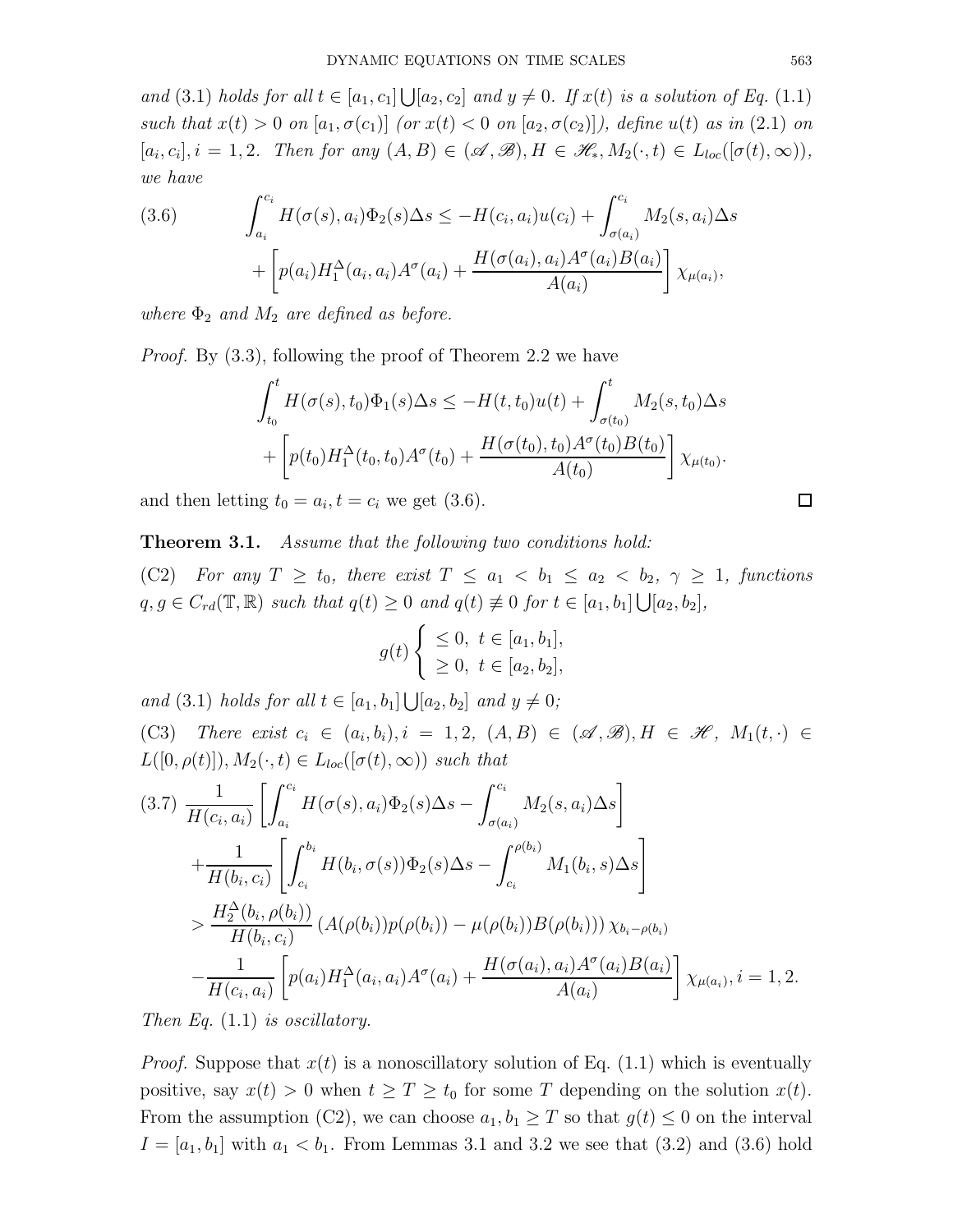and (3.1) holds for all  $t \in [a_1, c_1] \bigcup [a_2, c_2]$  and  $y \neq 0$ . If  $x(t)$  is a solution of Eq. (1.1) such that  $x(t) > 0$  on  $[a_1, \sigma(c_1)]$  (or  $x(t) < 0$  on  $[a_2, \sigma(c_2)]$ ), define  $u(t)$  as in (2.1) on  $[a_i, c_i], i = 1, 2$ . Then for any  $(A, B) \in (\mathscr{A}, \mathscr{B}), H \in \mathscr{H}_*, M_2(\cdot, t) \in L_{loc}([\sigma(t), \infty)),$ we have

(3.6) 
$$
\int_{a_i}^{c_i} H(\sigma(s), a_i) \Phi_2(s) \Delta s \leq -H(c_i, a_i) u(c_i) + \int_{\sigma(a_i)}^{c_i} M_2(s, a_i) \Delta s + \left[ p(a_i) H_1^{\Delta}(a_i, a_i) A^{\sigma}(a_i) + \frac{H(\sigma(a_i), a_i) A^{\sigma}(a_i) B(a_i)}{A(a_i)} \right] \chi_{\mu(a_i)},
$$

where  $\Phi_2$  and  $M_2$  are defined as before.

Proof. By (3.3), following the proof of Theorem 2.2 we have

$$
\int_{t_0}^t H(\sigma(s), t_0) \Phi_1(s) \Delta s \le -H(t, t_0) u(t) + \int_{\sigma(t_0)}^t M_2(s, t_0) \Delta s \n+ \left[ p(t_0) H_1^{\Delta}(t_0, t_0) A^{\sigma}(t_0) + \frac{H(\sigma(t_0), t_0) A^{\sigma}(t_0) B(t_0)}{A(t_0)} \right] \chi_{\mu(t_0)}.
$$

and then letting  $t_0 = a_i, t = c_i$  we get (3.6).

## **Theorem 3.1.** Assume that the following two conditions hold:

(C2) For any  $T \geq t_0$ , there exist  $T \leq a_1 < b_1 \leq a_2 < b_2$ ,  $\gamma \geq 1$ , functions  $q, g \in C_{rd}(\mathbb{T}, \mathbb{R})$  such that  $q(t) \geq 0$  and  $q(t) \neq 0$  for  $t \in [a_1, b_1] \bigcup [a_2, b_2]$ ,

$$
g(t) \begin{cases} \leq 0, \ t \in [a_1, b_1], \\ \geq 0, \ t \in [a_2, b_2], \end{cases}
$$

and (3.1) holds for all  $t \in [a_1, b_1] \bigcup [a_2, b_2]$  and  $y \neq 0$ ;

(C3) There exist  $c_i \in (a_i, b_i), i = 1, 2, (A, B) \in (\mathcal{A}, \mathcal{B}), H \in \mathcal{H}, M_1(t, \cdot) \in$  $L([0, \rho(t)]), M_2(\cdot, t) \in L_{loc}([\sigma(t), \infty))$  such that

$$
(3.7) \frac{1}{H(c_i, a_i)} \left[ \int_{a_i}^{c_i} H(\sigma(s), a_i) \Phi_2(s) \Delta s - \int_{\sigma(a_i)}^{c_i} M_2(s, a_i) \Delta s \right] + \frac{1}{H(b_i, c_i)} \left[ \int_{c_i}^{b_i} H(b_i, \sigma(s)) \Phi_2(s) \Delta s - \int_{c_i}^{\rho(b_i)} M_1(b_i, s) \Delta s \right] > \frac{H_2^{\Delta}(b_i, \rho(b_i))}{H(b_i, c_i)} \left( A(\rho(b_i)) p(\rho(b_i)) - \mu(\rho(b_i)) B(\rho(b_i)) \right) \chi_{b_i - \rho(b_i)} - \frac{1}{H(c_i, a_i)} \left[ p(a_i) H_1^{\Delta}(a_i, a_i) A^{\sigma}(a_i) + \frac{H(\sigma(a_i), a_i) A^{\sigma}(a_i) B(a_i)}{A(a_i)} \right] \chi_{\mu(a_i)}, i = 1, 2.
$$

Then Eq. (1.1) is oscillatory.

*Proof.* Suppose that  $x(t)$  is a nonoscillatory solution of Eq. (1.1) which is eventually positive, say  $x(t) > 0$  when  $t \geq T \geq t_0$  for some T depending on the solution  $x(t)$ . From the assumption (C2), we can choose  $a_1, b_1 \geq T$  so that  $g(t) \leq 0$  on the interval  $I = [a_1, b_1]$  with  $a_1 < b_1$ . From Lemmas 3.1 and 3.2 we see that (3.2) and (3.6) hold

 $\Box$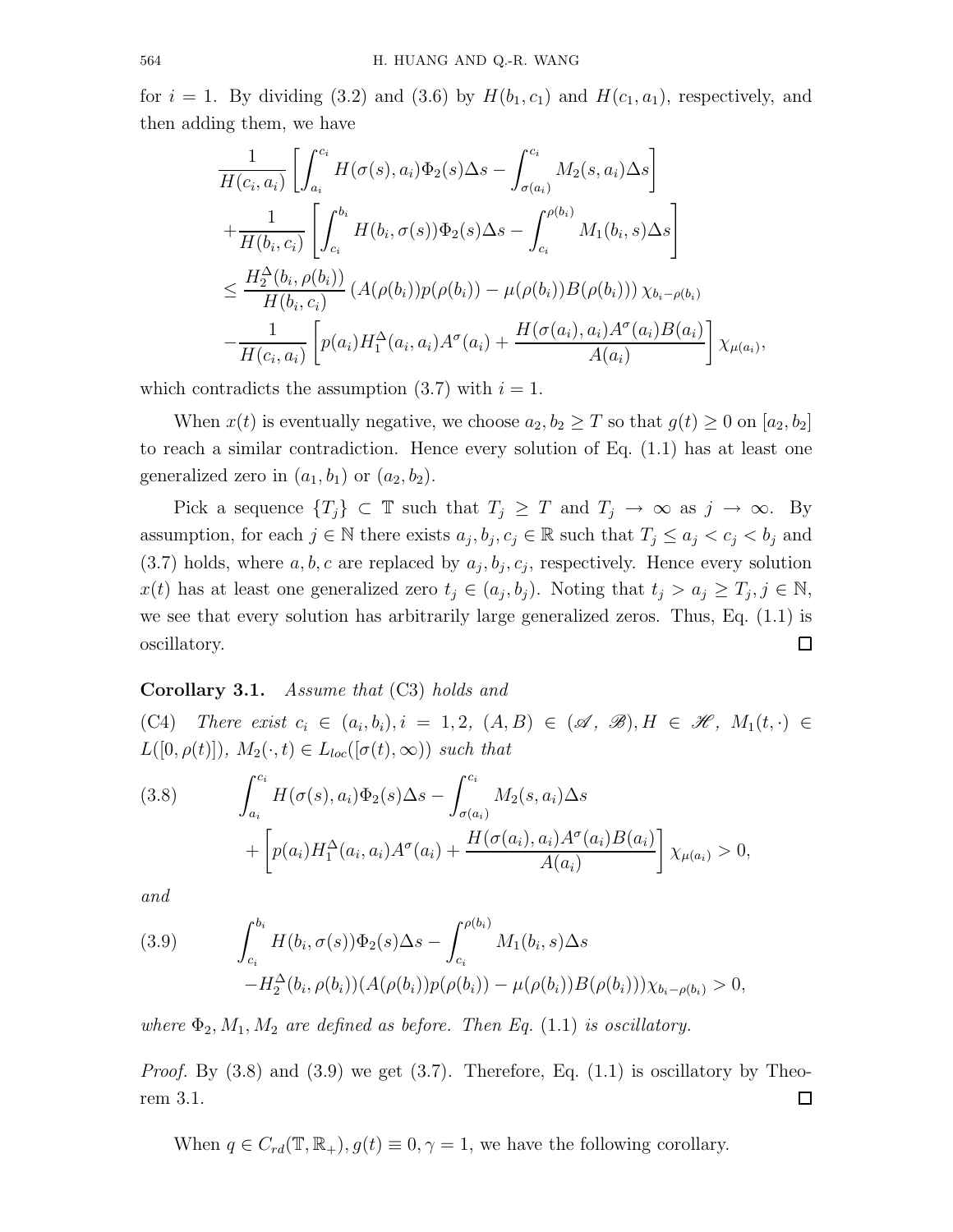for  $i = 1$ . By dividing (3.2) and (3.6) by  $H(b_1, c_1)$  and  $H(c_1, a_1)$ , respectively, and then adding them, we have

$$
\frac{1}{H(c_i, a_i)} \left[ \int_{a_i}^{c_i} H(\sigma(s), a_i) \Phi_2(s) \Delta s - \int_{\sigma(a_i)}^{c_i} M_2(s, a_i) \Delta s \right] \n+ \frac{1}{H(b_i, c_i)} \left[ \int_{c_i}^{b_i} H(b_i, \sigma(s)) \Phi_2(s) \Delta s - \int_{c_i}^{\rho(b_i)} M_1(b_i, s) \Delta s \right] \n\leq \frac{H_2^{\Delta}(b_i, \rho(b_i))}{H(b_i, c_i)} (A(\rho(b_i)) p(\rho(b_i)) - \mu(\rho(b_i)) B(\rho(b_i))) \chi_{b_i - \rho(b_i)} \n- \frac{1}{H(c_i, a_i)} \left[ p(a_i) H_1^{\Delta}(a_i, a_i) A^{\sigma}(a_i) + \frac{H(\sigma(a_i), a_i) A^{\sigma}(a_i) B(a_i)}{A(a_i)} \right] \chi_{\mu(a_i)},
$$

which contradicts the assumption  $(3.7)$  with  $i = 1$ .

When  $x(t)$  is eventually negative, we choose  $a_2, b_2 \geq T$  so that  $g(t) \geq 0$  on  $[a_2, b_2]$ to reach a similar contradiction. Hence every solution of Eq. (1.1) has at least one generalized zero in  $(a_1, b_1)$  or  $(a_2, b_2)$ .

Pick a sequence  ${T_j} \subset \mathbb{T}$  such that  $T_j \geq T$  and  $T_j \to \infty$  as  $j \to \infty$ . By assumption, for each  $j \in \mathbb{N}$  there exists  $a_j, b_j, c_j \in \mathbb{R}$  such that  $T_j \le a_j < c_j < b_j$  and  $(3.7)$  holds, where  $a, b, c$  are replaced by  $a_j, b_j, c_j$ , respectively. Hence every solution  $x(t)$  has at least one generalized zero  $t_j \in (a_j, b_j)$ . Noting that  $t_j > a_j \geq T_j, j \in \mathbb{N}$ , we see that every solution has arbitrarily large generalized zeros. Thus, Eq. (1.1) is oscillatory.  $\Box$ 

# Corollary 3.1. Assume that (C3) holds and

(C4) There exist  $c_i \in (a_i, b_i), i = 1, 2, (A, B) \in (\mathcal{A}, \mathcal{B}), H \in \mathcal{H}, M_1(t, \cdot) \in$  $L([0, \rho(t)]), M_2(\cdot, t) \in L_{loc}([\sigma(t), \infty))$  such that

(3.8) 
$$
\int_{a_i}^{c_i} H(\sigma(s), a_i) \Phi_2(s) \Delta s - \int_{\sigma(a_i)}^{c_i} M_2(s, a_i) \Delta s + \left[ p(a_i) H_1^{\Delta}(a_i, a_i) A^{\sigma}(a_i) + \frac{H(\sigma(a_i), a_i) A^{\sigma}(a_i) B(a_i)}{A(a_i)} \right] \chi_{\mu(a_i)} > 0,
$$

and

(3.9) 
$$
\int_{c_i}^{b_i} H(b_i, \sigma(s)) \Phi_2(s) \Delta s - \int_{c_i}^{\rho(b_i)} M_1(b_i, s) \Delta s - H_2^{\Delta}(b_i, \rho(b_i)) (A(\rho(b_i)) p(\rho(b_i)) - \mu(\rho(b_i)) B(\rho(b_i))) \chi_{b_i - \rho(b_i)} > 0,
$$

where  $\Phi_2, M_1, M_2$  are defined as before. Then Eq. (1.1) is oscillatory.

*Proof.* By  $(3.8)$  and  $(3.9)$  we get  $(3.7)$ . Therefore, Eq.  $(1.1)$  is oscillatory by Theo- $\Box$ rem 3.1.

When  $q \in C_{rd}(\mathbb{T}, \mathbb{R}_+), g(t) \equiv 0, \gamma = 1$ , we have the following corollary.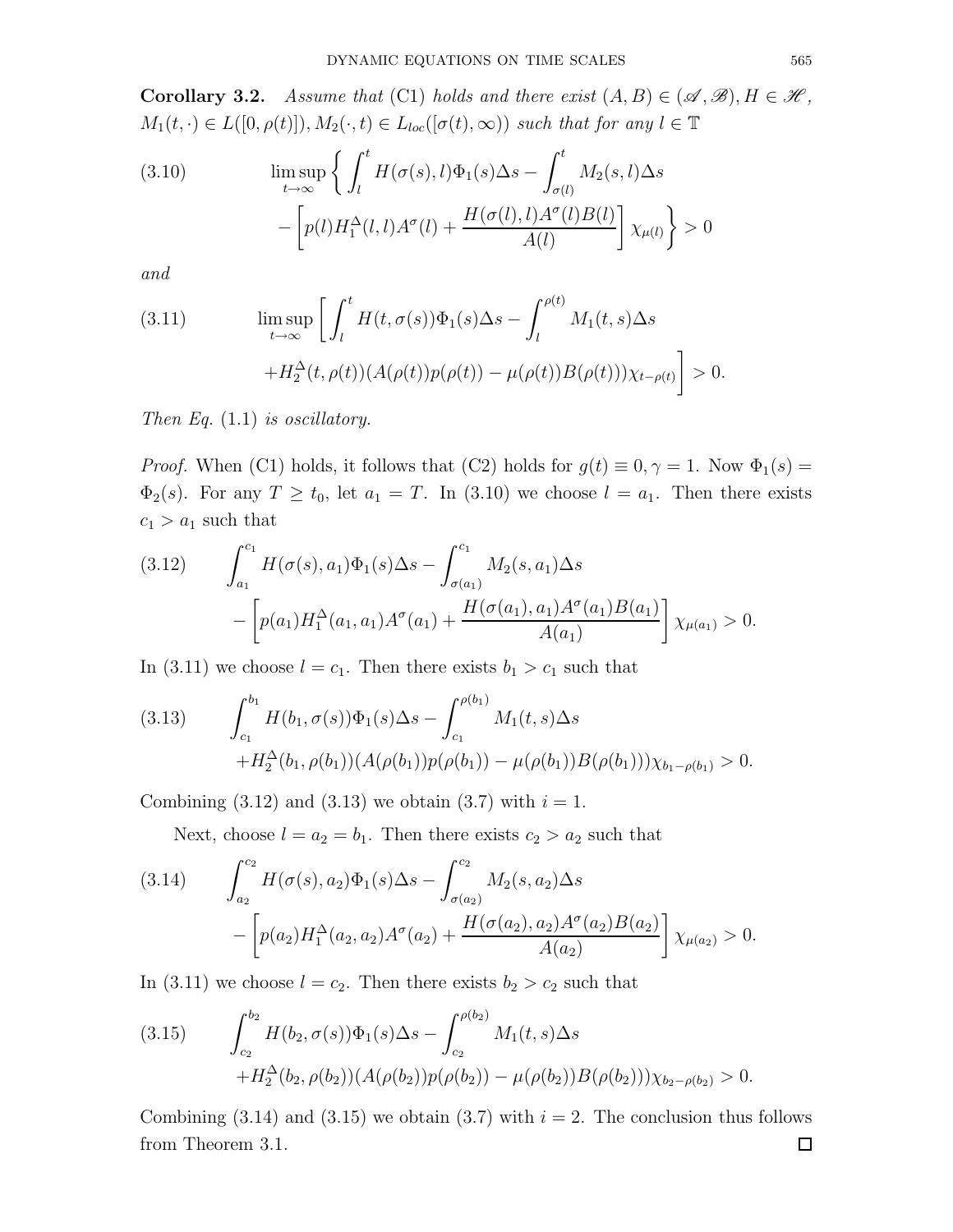**Corollary 3.2.** Assume that (C1) holds and there exist  $(A, B) \in (\mathcal{A}, \mathcal{B}), H \in \mathcal{H}$ ,  $M_1(t, \cdot) \in L([0, \rho(t)]), M_2(\cdot, t) \in L_{loc}([\sigma(t), \infty))$  such that for any  $l \in \mathbb{T}$ 

(3.10) 
$$
\limsup_{t \to \infty} \left\{ \int_l^t H(\sigma(s), l) \Phi_1(s) \Delta s - \int_{\sigma(l)}^t M_2(s, l) \Delta s - \left[ p(l) H_1^{\Delta}(l, l) A^{\sigma}(l) + \frac{H(\sigma(l), l) A^{\sigma}(l) B(l)}{A(l)} \right] \chi_{\mu(l)} \right\} > 0
$$

and

(3.11) 
$$
\limsup_{t \to \infty} \left[ \int_l^t H(t, \sigma(s)) \Phi_1(s) \Delta s - \int_l^{\rho(t)} M_1(t, s) \Delta s + H_2^{\Delta}(t, \rho(t)) (A(\rho(t)) p(\rho(t)) - \mu(\rho(t)) B(\rho(t))) \chi_{t-\rho(t)} \right] > 0.
$$

Then Eq.  $(1.1)$  is oscillatory.

*Proof.* When (C1) holds, it follows that (C2) holds for  $g(t) \equiv 0, \gamma = 1$ . Now  $\Phi_1(s) =$  $\Phi_2(s)$ . For any  $T \ge t_0$ , let  $a_1 = T$ . In (3.10) we choose  $l = a_1$ . Then there exists  $c_1 > a_1$  such that

$$
(3.12) \qquad \int_{a_1}^{c_1} H(\sigma(s), a_1) \Phi_1(s) \Delta s - \int_{\sigma(a_1)}^{c_1} M_2(s, a_1) \Delta s - \left[ p(a_1) H_1^{\Delta}(a_1, a_1) A^{\sigma}(a_1) + \frac{H(\sigma(a_1), a_1) A^{\sigma}(a_1) B(a_1)}{A(a_1)} \right] \chi_{\mu(a_1)} > 0.
$$

In (3.11) we choose  $l = c_1$ . Then there exists  $b_1 > c_1$  such that

$$
(3.13) \qquad \int_{c_1}^{b_1} H(b_1, \sigma(s))\Phi_1(s)\Delta s - \int_{c_1}^{\rho(b_1)} M_1(t, s)\Delta s + H_2^{\Delta}(b_1, \rho(b_1))(A(\rho(b_1))p(\rho(b_1)) - \mu(\rho(b_1))B(\rho(b_1)))\chi_{b_1 - \rho(b_1)} > 0.
$$

Combining  $(3.12)$  and  $(3.13)$  we obtain  $(3.7)$  with  $i = 1$ .

Next, choose  $l = a_2 = b_1$ . Then there exists  $c_2 > a_2$  such that

$$
(3.14) \qquad \int_{a_2}^{c_2} H(\sigma(s), a_2) \Phi_1(s) \Delta s - \int_{\sigma(a_2)}^{c_2} M_2(s, a_2) \Delta s - \left[ p(a_2) H_1^{\Delta}(a_2, a_2) A^{\sigma}(a_2) + \frac{H(\sigma(a_2), a_2) A^{\sigma}(a_2) B(a_2)}{A(a_2)} \right] \chi_{\mu(a_2)} > 0.
$$

In (3.11) we choose  $l = c_2$ . Then there exists  $b_2 > c_2$  such that

(3.15) 
$$
\int_{c_2}^{b_2} H(b_2, \sigma(s))\Phi_1(s)\Delta s - \int_{c_2}^{\rho(b_2)} M_1(t, s)\Delta s + H_2^{\Delta}(b_2, \rho(b_2))(A(\rho(b_2))p(\rho(b_2)) - \mu(\rho(b_2))B(\rho(b_2)))\chi_{b_2 - \rho(b_2)} > 0.
$$

Combining (3.14) and (3.15) we obtain (3.7) with  $i = 2$ . The conclusion thus follows from Theorem 3.1. $\Box$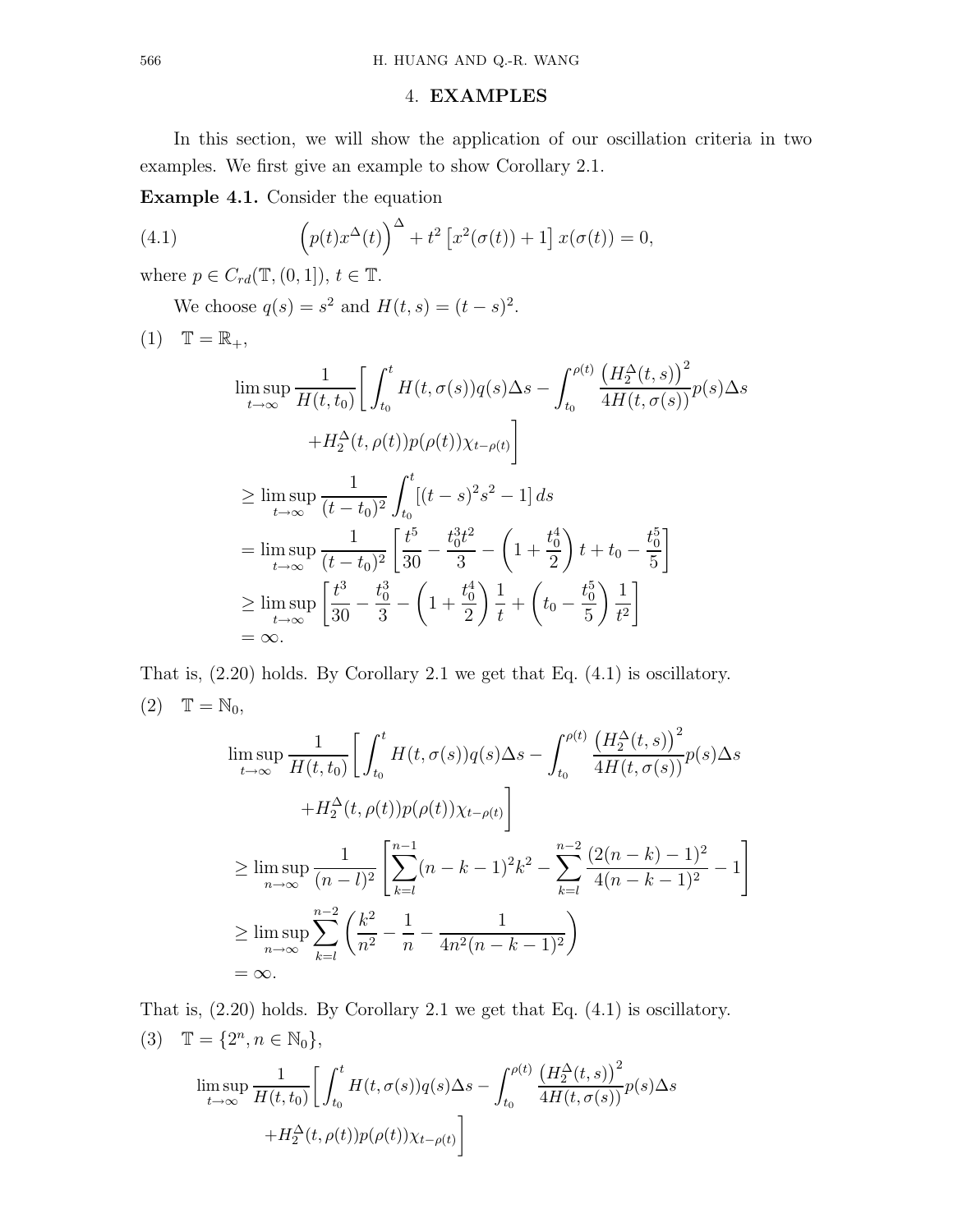### 4. EXAMPLES

In this section, we will show the application of our oscillation criteria in two examples. We first give an example to show Corollary 2.1.

Example 4.1. Consider the equation

(4.1) 
$$
\left(p(t)x^{\Delta}(t)\right)^{\Delta} + t^2 \left[x^2(\sigma(t)) + 1\right]x(\sigma(t)) = 0,
$$

where  $p \in C_{rd}(\mathbb{T}, (0, 1]), t \in \mathbb{T}$ .

We choose  $q(s) = s^2$  and  $H(t, s) = (t - s)^2$ .

$$
(1) \quad \mathbb{T} = \mathbb{R}_+,
$$

$$
\limsup_{t \to \infty} \frac{1}{H(t, t_0)} \left[ \int_{t_0}^t H(t, \sigma(s)) q(s) \Delta s - \int_{t_0}^{\rho(t)} \frac{\left( H_2^{\Delta}(t, s) \right)^2}{4H(t, \sigma(s))} p(s) \Delta s \right]
$$
  
+  $H_2^{\Delta}(t, \rho(t)) p(\rho(t)) \chi_{t-\rho(t)} \left]$   

$$
\geq \limsup_{t \to \infty} \frac{1}{(t - t_0)^2} \int_{t_0}^t [(t - s)^2 s^2 - 1] ds
$$
  
=  $\limsup_{t \to \infty} \frac{1}{(t - t_0)^2} \left[ \frac{t^5}{30} - \frac{t_0^3 t^2}{3} - \left( 1 + \frac{t_0^4}{2} \right) t + t_0 - \frac{t_0^5}{5} \right]$   

$$
\geq \limsup_{t \to \infty} \left[ \frac{t^3}{30} - \frac{t_0^3}{3} - \left( 1 + \frac{t_0^4}{2} \right) \frac{1}{t} + \left( t_0 - \frac{t_0^5}{5} \right) \frac{1}{t^2} \right]
$$
  
=  $\infty$ .

That is, (2.20) holds. By Corollary 2.1 we get that Eq. (4.1) is oscillatory.  $(2)$   $\mathbb{T} = \mathbb{N}_0$ ,

$$
\limsup_{t \to \infty} \frac{1}{H(t, t_0)} \left[ \int_{t_0}^t H(t, \sigma(s)) q(s) \Delta s - \int_{t_0}^{\rho(t)} \frac{\left( H_2^{\Delta}(t, s) \right)^2}{4H(t, \sigma(s))} p(s) \Delta s \right]
$$
  
+  $H_2^{\Delta}(t, \rho(t)) p(\rho(t)) \chi_{t-\rho(t)} \right]$   

$$
\geq \limsup_{n \to \infty} \frac{1}{(n - l)^2} \left[ \sum_{k=l}^{n-1} (n - k - 1)^2 k^2 - \sum_{k=l}^{n-2} \frac{(2(n - k) - 1)^2}{4(n - k - 1)^2} - 1 \right]
$$
  

$$
\geq \limsup_{n \to \infty} \sum_{k=l}^{n-2} \left( \frac{k^2}{n^2} - \frac{1}{n} - \frac{1}{4n^2(n - k - 1)^2} \right)
$$
  
=  $\infty$ .

That is, (2.20) holds. By Corollary 2.1 we get that Eq. (4.1) is oscillatory. (3)  $\mathbb{T} = \{2^n, n \in \mathbb{N}_0\},\$ 

$$
\limsup_{t \to \infty} \frac{1}{H(t, t_0)} \left[ \int_{t_0}^t H(t, \sigma(s)) q(s) \Delta s - \int_{t_0}^{\rho(t)} \frac{\left( H_2^{\Delta}(t, s) \right)^2}{4H(t, \sigma(s))} p(s) \Delta s \right] + H_2^{\Delta}(t, \rho(t)) p(\rho(t)) \chi_{t-\rho(t)} \right]
$$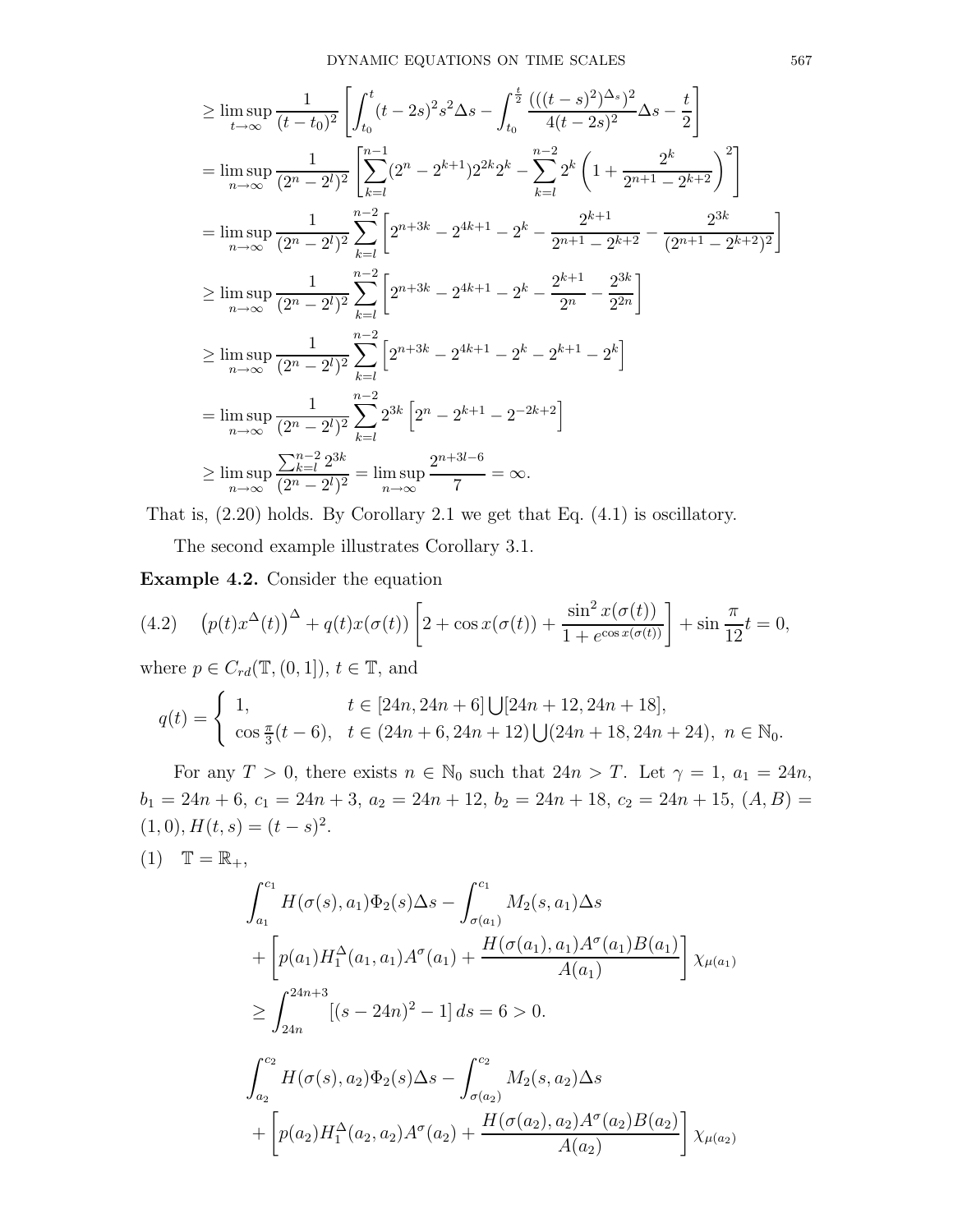$$
\geq \limsup_{t \to \infty} \frac{1}{(t - t_0)^2} \left[ \int_{t_0}^t (t - 2s)^2 s^2 \Delta s - \int_{t_0}^{\frac{t}{2}} \frac{(((t - s)^2)^{\Delta_s})^2}{4(t - 2s)^2} \Delta s - \frac{t}{2} \right]
$$
  
\n
$$
= \limsup_{n \to \infty} \frac{1}{(2^n - 2^l)^2} \left[ \sum_{k=l}^{n-1} (2^n - 2^{k+1}) 2^{2k} 2^k - \sum_{k=l}^{n-2} 2^k \left( 1 + \frac{2^k}{2^{n+1} - 2^{k+2}} \right)^2 \right]
$$
  
\n
$$
= \limsup_{n \to \infty} \frac{1}{(2^n - 2^l)^2} \sum_{k=l}^{n-2} \left[ 2^{n+3k} - 2^{4k+1} - 2^k - \frac{2^{k+1}}{2^{n+1} - 2^{k+2}} - \frac{2^{3k}}{(2^{n+1} - 2^{k+2})^2} \right]
$$
  
\n
$$
\geq \limsup_{n \to \infty} \frac{1}{(2^n - 2^l)^2} \sum_{k=l}^{n-2} \left[ 2^{n+3k} - 2^{4k+1} - 2^k - \frac{2^{k+1}}{2^n} - \frac{2^{3k}}{2^{2n}} \right]
$$
  
\n
$$
\geq \limsup_{n \to \infty} \frac{1}{(2^n - 2^l)^2} \sum_{k=l}^{n-2} \left[ 2^{n+3k} - 2^{4k+1} - 2^k - 2^{k+1} - 2^k \right]
$$
  
\n
$$
= \limsup_{n \to \infty} \frac{1}{(2^n - 2^l)^2} \sum_{k=l}^{n-2} 2^{3k} \left[ 2^n - 2^{k+1} - 2^{-2k+2} \right]
$$
  
\n
$$
\geq \limsup_{n \to \infty} \frac{\sum_{k=l}^{n-2} 2^{3k}}{(2^n - 2^l)^2} = \limsup_{n \to \infty} \frac{2^{n+3l-6}}{7} = \infty.
$$

That is, (2.20) holds. By Corollary 2.1 we get that Eq. (4.1) is oscillatory.

The second example illustrates Corollary 3.1.

Example 4.2. Consider the equation

(4.2) 
$$
(p(t)x^{\Delta}(t))^{\Delta} + q(t)x(\sigma(t)) \left[ 2 + \cos x(\sigma(t)) + \frac{\sin^2 x(\sigma(t))}{1 + e^{\cos x(\sigma(t))}} \right] + \sin \frac{\pi}{12}t = 0,
$$

where  $p \in C_{rd}(\mathbb{T}, (0, 1]), t \in \mathbb{T}$ , and

$$
q(t) = \begin{cases} 1, & t \in [24n, 24n+6] \bigcup [24n+12, 24n+18], \\ \cos \frac{\pi}{3}(t-6), & t \in (24n+6, 24n+12) \bigcup (24n+18, 24n+24), & n \in \mathbb{N}_0. \end{cases}
$$

For any  $T > 0$ , there exists  $n \in \mathbb{N}_0$  such that  $24n > T$ . Let  $\gamma = 1$ ,  $a_1 = 24n$ ,  $b_1 = 24n + 6, c_1 = 24n + 3, a_2 = 24n + 12, b_2 = 24n + 18, c_2 = 24n + 15, (A, B) =$  $(1,0), H(t,s) = (t-s)^2.$ 

$$
(1) \quad \mathbb{T} = \mathbb{R}_+,
$$

$$
\int_{a_1}^{c_1} H(\sigma(s), a_1) \Phi_2(s) \Delta s - \int_{\sigma(a_1)}^{c_1} M_2(s, a_1) \Delta s
$$
  
+ 
$$
\left[ p(a_1) H_1^{\Delta}(a_1, a_1) A^{\sigma}(a_1) + \frac{H(\sigma(a_1), a_1) A^{\sigma}(a_1) B(a_1)}{A(a_1)} \right] \chi_{\mu(a_1)}
$$
  

$$
\geq \int_{24n}^{24n+3} [(s - 24n)^2 - 1] ds = 6 > 0.
$$
  

$$
\int_{a_2}^{c_2} H(\sigma(s), a_2) \Phi_2(s) \Delta s - \int_{\sigma(a_2)}^{c_2} M_2(s, a_2) \Delta s
$$
  
+ 
$$
\left[ p(a_2) H_1^{\Delta}(a_2, a_2) A^{\sigma}(a_2) + \frac{H(\sigma(a_2), a_2) A^{\sigma}(a_2) B(a_2)}{A(a_2)} \right] \chi_{\mu(a_2)}
$$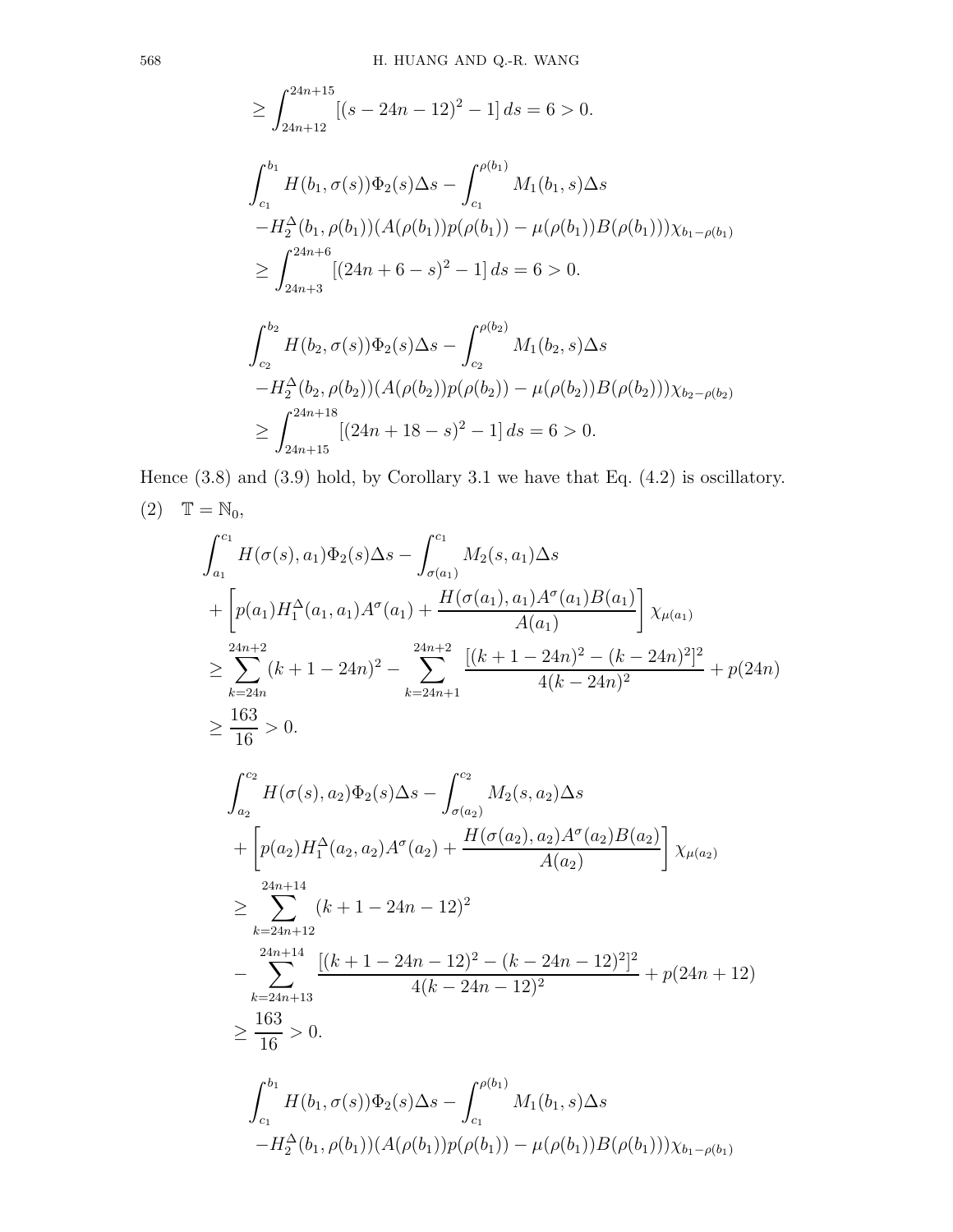$$
\geq \int_{24n+15}^{24n+15} [(s - 24n - 12)^2 - 1] ds = 6 > 0.
$$
  

$$
\int_{c_1}^{b_1} H(b_1, \sigma(s)) \Phi_2(s) \Delta s - \int_{c_1}^{\rho(b_1)} M_1(b_1, s) \Delta s
$$
  

$$
-H_2^{\Delta}(b_1, \rho(b_1)) (A(\rho(b_1))p(\rho(b_1)) - \mu(\rho(b_1))B(\rho(b_1))) \chi_{b_1 - \rho(b_1)}
$$
  

$$
\geq \int_{24n+3}^{24n+6} [(24n+6-s)^2 - 1] ds = 6 > 0.
$$

$$
\int_{c_2}^{b_2} H(b_2, \sigma(s))\Phi_2(s)\Delta s - \int_{c_2}^{\rho(b_2)} M_1(b_2, s)\Delta s
$$
  
- $H_2^{\Delta}(b_2, \rho(b_2))(A(\rho(b_2))p(\rho(b_2)) - \mu(\rho(b_2))B(\rho(b_2)))\chi_{b_2 - \rho(b_2)}$   

$$
\ge \int_{24n+15}^{24n+18} [(24n+18-s)^2 - 1] ds = 6 > 0.
$$

Hence (3.8) and (3.9) hold, by Corollary 3.1 we have that Eq. (4.2) is oscillatory. (2)  $\mathbb{T} = \mathbb{N}_0$ ,

$$
\int_{a_1}^{c_1} H(\sigma(s), a_1) \Phi_2(s) \Delta s - \int_{\sigma(a_1)}^{c_1} M_2(s, a_1) \Delta s
$$
  
+ 
$$
\left[ p(a_1) H_1^{\Delta}(a_1, a_1) A^{\sigma}(a_1) + \frac{H(\sigma(a_1), a_1) A^{\sigma}(a_1) B(a_1)}{A(a_1)} \right] \chi_{\mu(a_1)}
$$
  

$$
\geq \sum_{k=24n}^{24n+2} (k+1-24n)^2 - \sum_{k=24n+1}^{24n+2} \frac{\left[ (k+1-24n)^2 - (k-24n)^2 \right]^2}{4(k-24n)^2} + p(24n)
$$
  

$$
\geq \frac{163}{16} > 0.
$$
  

$$
\int_{a_2}^{c_2} H(\sigma(s), a_2) \Phi_2(s) \Delta s - \int_{\sigma(a_2)}^{c_2} M_2(s, a_2) \Delta s
$$
  
+ 
$$
\left[ p(a_2) H_1^{\Delta}(a_2, a_2) A^{\sigma}(a_2) + \frac{H(\sigma(a_2), a_2) A^{\sigma}(a_2) B(a_2)}{A(a_2)} \right] \chi_{\mu(a_2)}
$$
  

$$
\geq \sum_{k=24n+12}^{24n+14} (k+1-24n-12)^2
$$
  

$$
- \sum_{k=24n+13}^{24n+14} \frac{\left[ (k+1-24n-12)^2 - (k-24n-12)^2 \right]^2}{4(k-24n-12)^2} + p(24n+12)
$$
  

$$
\geq \frac{163}{16} > 0.
$$
  

$$
\int_{c_1}^{b_1} H(b_1, \sigma(s)) \Phi_2(s) \Delta s - \int_{c_1}^{\rho(b_1)} M_1(b_1, s) \Delta s
$$
  

$$
-H_2^{\Delta}(b_1, \rho(b_1)) (A(\rho(b_1)) p(\rho(b_1)) - \mu(\rho(b_1)) B(\rho(b_1))) \chi_{b_1-\rho(b_1)}
$$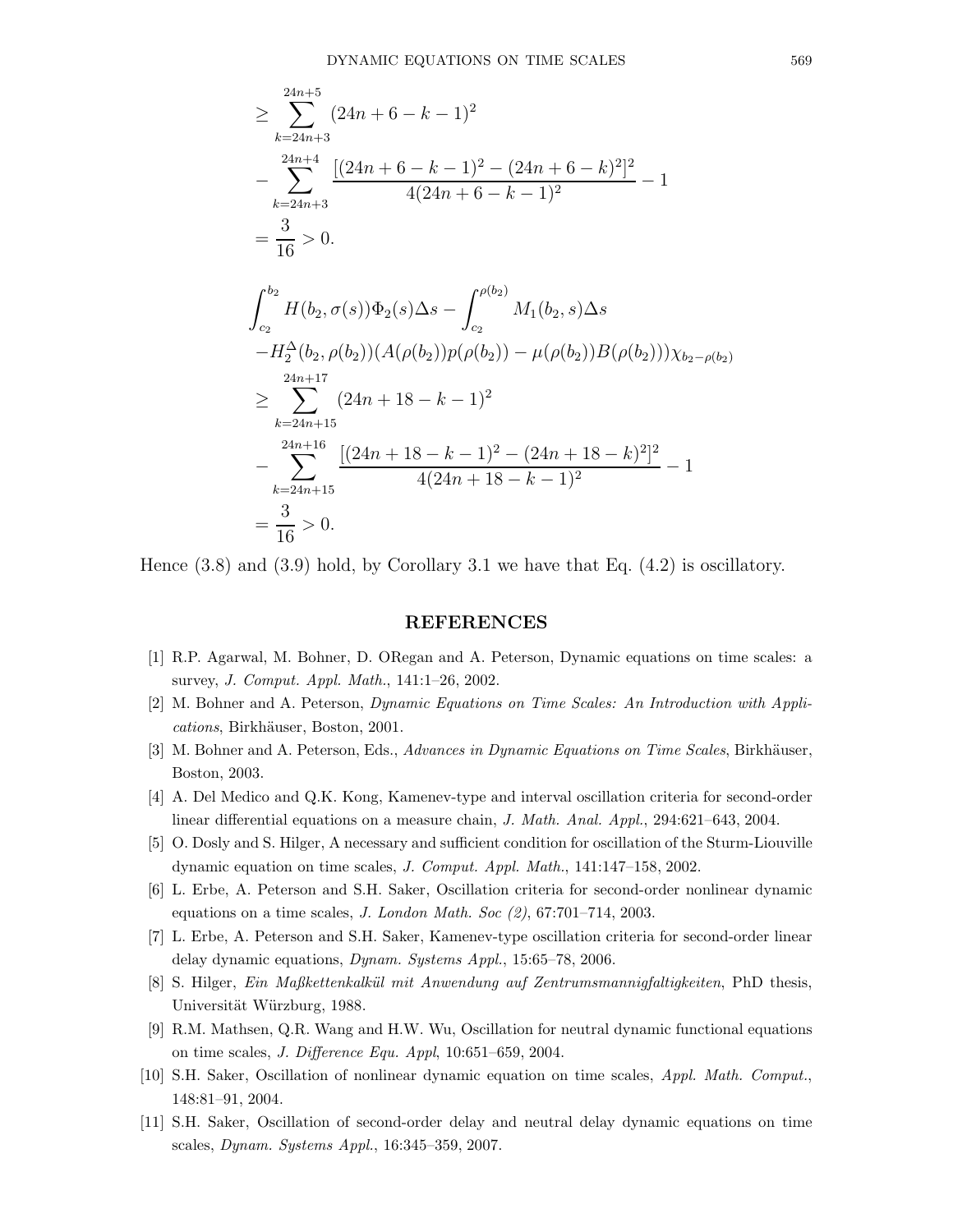$$
\geq \sum_{k=24n+3}^{24n+5} (24n+6-k-1)^2
$$
  
\n
$$
-\sum_{k=24n+3}^{24n+4} \frac{[(24n+6-k-1)^2 - (24n+6-k)^2]^2}{4(24n+6-k-1)^2} - 1
$$
  
\n
$$
=\frac{3}{16} > 0.
$$
  
\n
$$
\int_{c_2}^{b_2} H(b_2, \sigma(s))\Phi_2(s)\Delta s - \int_{c_2}^{\rho(b_2)} M_1(b_2, s)\Delta s
$$
  
\n
$$
-H_2^{\Delta}(b_2, \rho(b_2))(A(\rho(b_2))p(\rho(b_2)) - \mu(\rho(b_2))B(\rho(b_2)))\chi_{b_2-\rho(b_2)}
$$
  
\n
$$
\geq \sum_{k=24n+15}^{24n+17} (24n+18-k-1)^2
$$
  
\n
$$
-\sum_{k=24n+15}^{24n+16} \frac{[(24n+18-k-1)^2 - (24n+18-k)^2]^2}{4(24n+18-k-1)^2} - 1
$$
  
\n
$$
=\frac{3}{16} > 0.
$$

Hence  $(3.8)$  and  $(3.9)$  hold, by Corollary 3.1 we have that Eq.  $(4.2)$  is oscillatory.

#### REFERENCES

- [1] R.P. Agarwal, M. Bohner, D. ORegan and A. Peterson, Dynamic equations on time scales: a survey, J. Comput. Appl. Math., 141:1–26, 2002.
- [2] M. Bohner and A. Peterson, Dynamic Equations on Time Scales: An Introduction with Applications, Birkhäuser, Boston, 2001.
- [3] M. Bohner and A. Peterson, Eds., Advances in Dynamic Equations on Time Scales, Birkhäuser, Boston, 2003.
- [4] A. Del Medico and Q.K. Kong, Kamenev-type and interval oscillation criteria for second-order linear differential equations on a measure chain, J. Math. Anal. Appl., 294:621–643, 2004.
- [5] O. Dosly and S. Hilger, A necessary and sufficient condition for oscillation of the Sturm-Liouville dynamic equation on time scales, J. Comput. Appl. Math., 141:147–158, 2002.
- [6] L. Erbe, A. Peterson and S.H. Saker, Oscillation criteria for second-order nonlinear dynamic equations on a time scales,  $J.$  London Math. Soc  $(2)$ , 67:701–714, 2003.
- [7] L. Erbe, A. Peterson and S.H. Saker, Kamenev-type oscillation criteria for second-order linear delay dynamic equations, Dynam. Systems Appl., 15:65–78, 2006.
- [8] S. Hilger, Ein Maßkettenkalkül mit Anwendung auf Zentrumsmannigfaltigkeiten, PhD thesis, Universität Würzburg, 1988.
- [9] R.M. Mathsen, Q.R. Wang and H.W. Wu, Oscillation for neutral dynamic functional equations on time scales, J. Difference Equ. Appl, 10:651–659, 2004.
- [10] S.H. Saker, Oscillation of nonlinear dynamic equation on time scales, Appl. Math. Comput., 148:81–91, 2004.
- [11] S.H. Saker, Oscillation of second-order delay and neutral delay dynamic equations on time scales, Dynam. Systems Appl., 16:345–359, 2007.